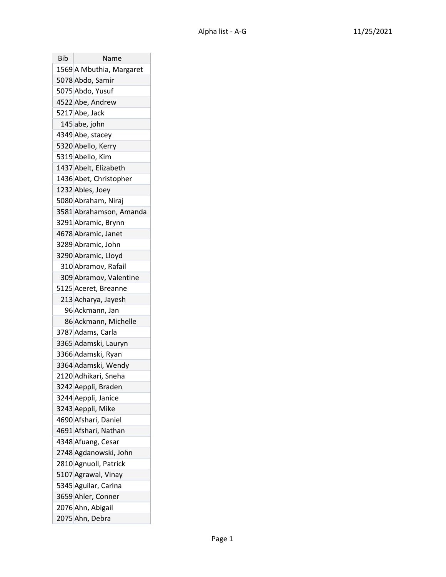| Bib | Name                     |
|-----|--------------------------|
|     | 1569 A Mbuthia, Margaret |
|     | 5078 Abdo, Samir         |
|     | 5075 Abdo, Yusuf         |
|     | 4522 Abe, Andrew         |
|     | 5217 Abe, Jack           |
|     | 145 abe, john            |
|     | 4349 Abe, stacey         |
|     | 5320 Abello, Kerry       |
|     | 5319 Abello, Kim         |
|     | 1437 Abelt, Elizabeth    |
|     | 1436 Abet, Christopher   |
|     | 1232 Ables, Joey         |
|     | 5080 Abraham, Niraj      |
|     | 3581 Abrahamson, Amanda  |
|     | 3291 Abramic, Brynn      |
|     | 4678 Abramic, Janet      |
|     | 3289 Abramic, John       |
|     | 3290 Abramic, Lloyd      |
|     | 310 Abramov, Rafail      |
|     | 309 Abramov, Valentine   |
|     | 5125 Aceret, Breanne     |
|     | 213 Acharya, Jayesh      |
|     | 96 Ackmann, Jan          |
|     | 86 Ackmann, Michelle     |
|     | 3787 Adams, Carla        |
|     | 3365 Adamski, Lauryn     |
|     | 3366 Adamski, Ryan       |
|     | 3364 Adamski, Wendy      |
|     | 2120 Adhikari, Sneha     |
|     | 3242 Aeppli, Braden      |
|     | 3244 Aeppli, Janice      |
|     | 3243 Aeppli, Mike        |
|     | 4690 Afshari, Daniel     |
|     | 4691 Afshari, Nathan     |
|     | 4348 Afuang, Cesar       |
|     | 2748 Agdanowski, John    |
|     | 2810 Agnuoll, Patrick    |
|     | 5107 Agrawal, Vinay      |
|     | 5345 Aguilar, Carina     |
|     | 3659 Ahler, Conner       |
|     | 2076 Ahn, Abigail        |
|     | 2075 Ahn, Debra          |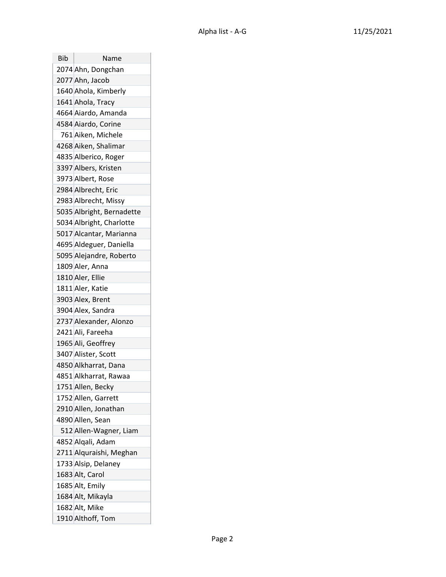| Bib | Name                      |
|-----|---------------------------|
|     | 2074 Ahn, Dongchan        |
|     | 2077 Ahn, Jacob           |
|     | 1640 Ahola, Kimberly      |
|     | 1641 Ahola, Tracy         |
|     | 4664 Aiardo, Amanda       |
|     | 4584 Aiardo, Corine       |
|     | 761 Aiken, Michele        |
|     | 4268 Aiken, Shalimar      |
|     | 4835 Alberico, Roger      |
|     | 3397 Albers, Kristen      |
|     | 3973 Albert, Rose         |
|     | 2984 Albrecht, Eric       |
|     | 2983 Albrecht, Missy      |
|     | 5035 Albright, Bernadette |
|     | 5034 Albright, Charlotte  |
|     | 5017 Alcantar, Marianna   |
|     | 4695 Aldeguer, Daniella   |
|     | 5095 Alejandre, Roberto   |
|     | 1809 Aler, Anna           |
|     | 1810 Aler, Ellie          |
|     | 1811 Aler, Katie          |
|     | 3903 Alex, Brent          |
|     | 3904 Alex, Sandra         |
|     | 2737 Alexander, Alonzo    |
|     | 2421 Ali, Fareeha         |
|     | 1965 Ali, Geoffrey        |
|     | 3407 Alister, Scott       |
|     | 4850 Alkharrat, Dana      |
|     | 4851 Alkharrat, Rawaa     |
|     | 1751 Allen, Becky         |
|     | 1752 Allen, Garrett       |
|     | 2910 Allen, Jonathan      |
|     | 4890 Allen, Sean          |
|     | 512 Allen-Wagner, Liam    |
|     | 4852 Alqali, Adam         |
|     | 2711 Alquraishi, Meghan   |
|     | 1733 Alsip, Delaney       |
|     | 1683 Alt, Carol           |
|     | 1685 Alt, Emily           |
|     | 1684 Alt, Mikayla         |
|     | 1682 Alt, Mike            |
|     | 1910 Althoff, Tom         |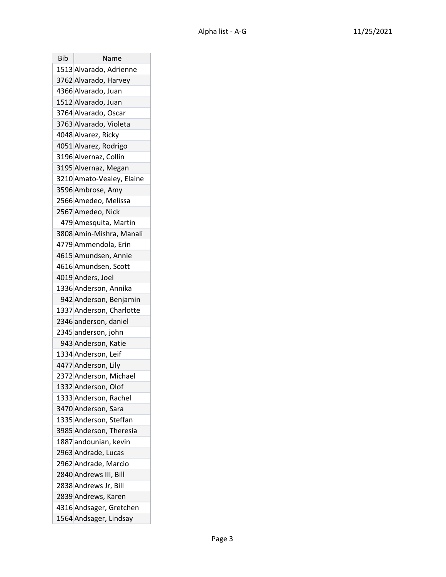| Bib | Name                      |
|-----|---------------------------|
|     | 1513 Alvarado, Adrienne   |
|     | 3762 Alvarado, Harvey     |
|     | 4366 Alvarado, Juan       |
|     | 1512 Alvarado, Juan       |
|     | 3764 Alvarado, Oscar      |
|     | 3763 Alvarado, Violeta    |
|     | 4048 Alvarez, Ricky       |
|     | 4051 Alvarez, Rodrigo     |
|     | 3196 Alvernaz, Collin     |
|     | 3195 Alvernaz, Megan      |
|     | 3210 Amato-Vealey, Elaine |
|     | 3596 Ambrose, Amy         |
|     | 2566 Amedeo, Melissa      |
|     | 2567 Amedeo, Nick         |
|     | 479 Amesquita, Martin     |
|     | 3808 Amin-Mishra, Manali  |
|     | 4779 Ammendola, Erin      |
|     | 4615 Amundsen, Annie      |
|     | 4616 Amundsen, Scott      |
|     | 4019 Anders, Joel         |
|     | 1336 Anderson, Annika     |
|     | 942 Anderson, Benjamin    |
|     | 1337 Anderson, Charlotte  |
|     | 2346 anderson, daniel     |
|     | 2345 anderson, john       |
|     | 943 Anderson, Katie       |
|     | 1334 Anderson, Leif       |
|     | 4477 Anderson, Lily       |
|     | 2372 Anderson, Michael    |
|     | 1332 Anderson, Olof       |
|     | 1333 Anderson, Rachel     |
|     | 3470 Anderson, Sara       |
|     | 1335 Anderson, Steffan    |
|     | 3985 Anderson, Theresia   |
|     | 1887 andounian, kevin     |
|     | 2963 Andrade, Lucas       |
|     | 2962 Andrade, Marcio      |
|     | 2840 Andrews III, Bill    |
|     | 2838 Andrews Jr, Bill     |
|     | 2839 Andrews, Karen       |
|     | 4316 Andsager, Gretchen   |
|     | 1564 Andsager, Lindsay    |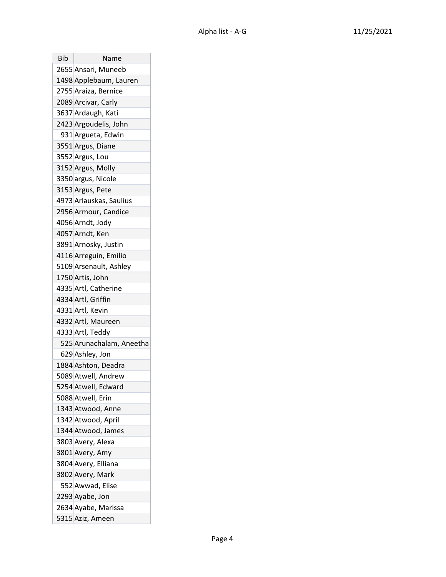| Bib | Name                     |
|-----|--------------------------|
|     | 2655 Ansari, Muneeb      |
|     | 1498 Applebaum, Lauren   |
|     | 2755 Araiza, Bernice     |
|     | 2089 Arcivar, Carly      |
|     | 3637 Ardaugh, Kati       |
|     | 2423 Argoudelis, John    |
|     | 931 Argueta, Edwin       |
|     | 3551 Argus, Diane        |
|     | 3552 Argus, Lou          |
|     | 3152 Argus, Molly        |
|     | 3350 argus, Nicole       |
|     | 3153 Argus, Pete         |
|     | 4973 Arlauskas, Saulius  |
|     | 2956 Armour, Candice     |
|     | 4056 Arndt, Jody         |
|     | 4057 Arndt, Ken          |
|     | 3891 Arnosky, Justin     |
|     | 4116 Arreguin, Emilio    |
|     | 5109 Arsenault, Ashley   |
|     | 1750 Artis, John         |
|     | 4335 Artl, Catherine     |
|     | 4334 Artl, Griffin       |
|     | 4331 Artl, Kevin         |
|     | 4332 Artl, Maureen       |
|     | 4333 Artl, Teddy         |
|     | 525 Arunachalam, Aneetha |
|     | 629 Ashley, Jon          |
|     | 1884 Ashton, Deadra      |
|     | 5089 Atwell, Andrew      |
|     | 5254 Atwell, Edward      |
|     | 5088 Atwell, Erin        |
|     | 1343 Atwood, Anne        |
|     | 1342 Atwood, April       |
|     | 1344 Atwood, James       |
|     | 3803 Avery, Alexa        |
|     | 3801 Avery, Amy          |
|     | 3804 Avery, Elliana      |
|     | 3802 Avery, Mark         |
|     | 552 Awwad, Elise         |
|     | 2293 Ayabe, Jon          |
|     | 2634 Ayabe, Marissa      |
|     | 5315 Aziz, Ameen         |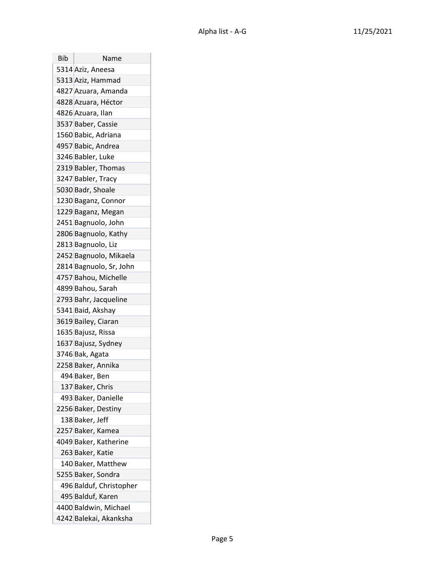| Bib | Name                    |
|-----|-------------------------|
|     | 5314 Aziz, Aneesa       |
|     | 5313 Aziz, Hammad       |
|     | 4827 Azuara, Amanda     |
|     | 4828 Azuara, Héctor     |
|     | 4826 Azuara, Ilan       |
|     | 3537 Baber, Cassie      |
|     | 1560 Babic, Adriana     |
|     | 4957 Babic, Andrea      |
|     | 3246 Babler, Luke       |
|     | 2319 Babler, Thomas     |
|     | 3247 Babler, Tracy      |
|     | 5030 Badr, Shoale       |
|     | 1230 Baganz, Connor     |
|     | 1229 Baganz, Megan      |
|     | 2451 Bagnuolo, John     |
|     | 2806 Bagnuolo, Kathy    |
|     | 2813 Bagnuolo, Liz      |
|     | 2452 Bagnuolo, Mikaela  |
|     | 2814 Bagnuolo, Sr, John |
|     | 4757 Bahou, Michelle    |
|     | 4899 Bahou, Sarah       |
|     | 2793 Bahr, Jacqueline   |
|     | 5341 Baid, Akshay       |
|     | 3619 Bailey, Ciaran     |
|     | 1635 Bajusz, Rissa      |
|     | 1637 Bajusz, Sydney     |
|     | 3746 Bak, Agata         |
|     | 2258 Baker, Annika      |
|     | 494 Baker, Ben          |
|     | 137 Baker, Chris        |
|     | 493 Baker, Danielle     |
|     | 2256 Baker, Destiny     |
|     | 138 Baker, Jeff         |
|     | 2257 Baker, Kamea       |
|     | 4049 Baker, Katherine   |
|     | 263 Baker, Katie        |
|     | 140 Baker, Matthew      |
|     | 5255 Baker, Sondra      |
|     | 496 Balduf, Christopher |
|     | 495 Balduf, Karen       |
|     | 4400 Baldwin, Michael   |
|     | 4242 Balekai, Akanksha  |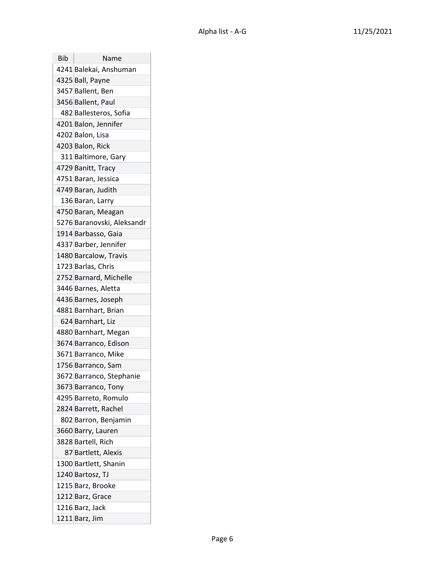| Bib | Name                       |
|-----|----------------------------|
|     | 4241 Balekai, Anshuman     |
|     | 4325 Ball, Payne           |
|     | 3457 Ballent, Ben          |
|     | 3456 Ballent, Paul         |
|     | 482 Ballesteros, Sofia     |
|     | 4201 Balon, Jennifer       |
|     | 4202 Balon, Lisa           |
|     | 4203 Balon, Rick           |
|     | 311 Baltimore, Gary        |
|     | 4729 Banitt, Tracy         |
|     | 4751 Baran, Jessica        |
|     | 4749 Baran, Judith         |
|     | 136 Baran, Larry           |
|     | 4750 Baran, Meagan         |
|     | 5276 Baranovski, Aleksandr |
|     | 1914 Barbasso, Gaia        |
|     | 4337 Barber, Jennifer      |
|     | 1480 Barcalow, Travis      |
|     | 1723 Barlas, Chris         |
|     | 2752 Barnard, Michelle     |
|     | 3446 Barnes, Aletta        |
|     | 4436 Barnes, Joseph        |
|     | 4881 Barnhart, Brian       |
|     | 624 Barnhart, Liz          |
|     | 4880 Barnhart, Megan       |
|     | 3674 Barranco, Edison      |
|     | 3671 Barranco, Mike        |
|     | 1756 Barranco, Sam         |
|     | 3672 Barranco, Stephanie   |
|     | 3673 Barranco, Tony        |
|     | 4295 Barreto, Romulo       |
|     | 2824 Barrett, Rachel       |
|     | 802 Barron, Benjamin       |
|     | 3660 Barry, Lauren         |
|     | 3828 Bartell, Rich         |
|     | 87 Bartlett, Alexis        |
|     | 1300 Bartlett, Shanin      |
|     | 1240 Bartosz, TJ           |
|     | 1215 Barz, Brooke          |
|     | 1212 Barz, Grace           |
|     | 1216 Barz, Jack            |
|     | 1211 Barz, Jim             |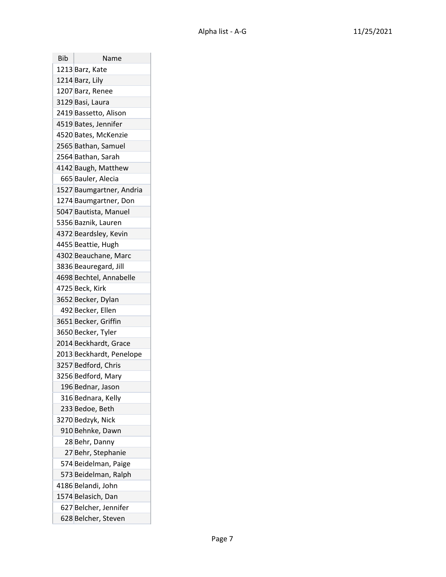| Bib | Name                     |
|-----|--------------------------|
|     | 1213 Barz, Kate          |
|     | 1214 Barz, Lily          |
|     | 1207 Barz, Renee         |
|     | 3129 Basi, Laura         |
|     | 2419 Bassetto, Alison    |
|     | 4519 Bates, Jennifer     |
|     | 4520 Bates, McKenzie     |
|     | 2565 Bathan, Samuel      |
|     | 2564 Bathan, Sarah       |
|     | 4142 Baugh, Matthew      |
|     | 665 Bauler, Alecia       |
|     | 1527 Baumgartner, Andria |
|     | 1274 Baumgartner, Don    |
|     | 5047 Bautista, Manuel    |
|     | 5356 Baznik, Lauren      |
|     | 4372 Beardsley, Kevin    |
|     | 4455 Beattie, Hugh       |
|     | 4302 Beauchane, Marc     |
|     | 3836 Beauregard, Jill    |
|     | 4698 Bechtel, Annabelle  |
|     | 4725 Beck, Kirk          |
|     | 3652 Becker, Dylan       |
|     | 492 Becker, Ellen        |
|     | 3651 Becker, Griffin     |
|     | 3650 Becker, Tyler       |
|     | 2014 Beckhardt, Grace    |
|     | 2013 Beckhardt, Penelope |
|     | 3257 Bedford, Chris      |
|     | 3256 Bedford, Mary       |
|     | 196 Bednar, Jason        |
|     | 316 Bednara, Kelly       |
|     | 233 Bedoe, Beth          |
|     | 3270 Bedzyk, Nick        |
|     | 910 Behnke, Dawn         |
|     | 28 Behr, Danny           |
|     | 27 Behr, Stephanie       |
|     | 574 Beidelman, Paige     |
|     | 573 Beidelman, Ralph     |
|     | 4186 Belandi, John       |
|     | 1574 Belasich, Dan       |
|     | 627 Belcher, Jennifer    |
|     | 628 Belcher, Steven      |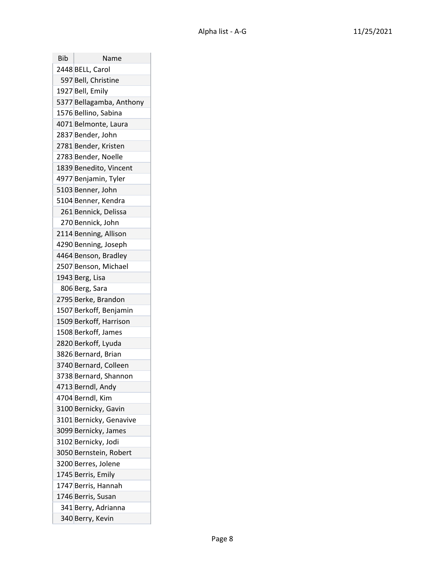| Bib | Name                     |
|-----|--------------------------|
|     | 2448 BELL, Carol         |
|     | 597 Bell, Christine      |
|     | 1927 Bell, Emily         |
|     | 5377 Bellagamba, Anthony |
|     | 1576 Bellino, Sabina     |
|     | 4071 Belmonte, Laura     |
|     | 2837 Bender, John        |
|     | 2781 Bender, Kristen     |
|     | 2783 Bender, Noelle      |
|     | 1839 Benedito, Vincent   |
|     | 4977 Benjamin, Tyler     |
|     | 5103 Benner, John        |
|     | 5104 Benner, Kendra      |
|     | 261 Bennick, Delissa     |
|     | 270 Bennick, John        |
|     | 2114 Benning, Allison    |
|     | 4290 Benning, Joseph     |
|     | 4464 Benson, Bradley     |
|     | 2507 Benson, Michael     |
|     | 1943 Berg, Lisa          |
|     | 806 Berg, Sara           |
|     | 2795 Berke, Brandon      |
|     | 1507 Berkoff, Benjamin   |
|     | 1509 Berkoff, Harrison   |
|     | 1508 Berkoff, James      |
|     | 2820 Berkoff, Lyuda      |
|     | 3826 Bernard, Brian      |
|     | 3740 Bernard, Colleen    |
|     | 3738 Bernard, Shannon    |
|     | 4713 Berndl, Andy        |
|     | 4704 Berndl, Kim         |
|     | 3100 Bernicky, Gavin     |
|     | 3101 Bernicky, Genavive  |
|     | 3099 Bernicky, James     |
|     | 3102 Bernicky, Jodi      |
|     | 3050 Bernstein, Robert   |
|     | 3200 Berres, Jolene      |
|     | 1745 Berris, Emily       |
|     | 1747 Berris, Hannah      |
|     | 1746 Berris, Susan       |
|     | 341 Berry, Adrianna      |
|     | 340 Berry, Kevin         |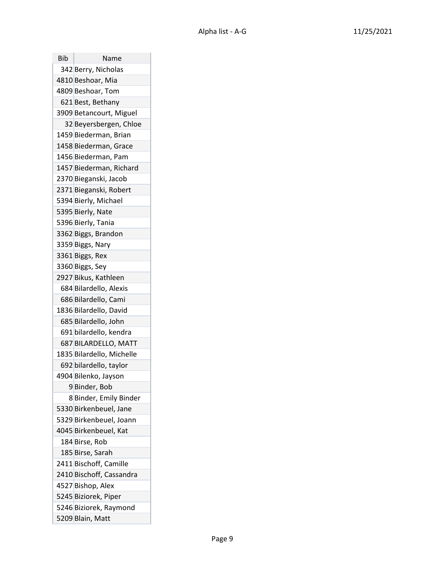| Bib | Name                      |
|-----|---------------------------|
|     | 342 Berry, Nicholas       |
|     | 4810 Beshoar, Mia         |
|     | 4809 Beshoar, Tom         |
|     | 621 Best, Bethany         |
|     | 3909 Betancourt, Miguel   |
|     | 32 Beyersbergen, Chloe    |
|     | 1459 Biederman, Brian     |
|     | 1458 Biederman, Grace     |
|     | 1456 Biederman, Pam       |
|     | 1457 Biederman, Richard   |
|     | 2370 Bieganski, Jacob     |
|     | 2371 Bieganski, Robert    |
|     | 5394 Bierly, Michael      |
|     | 5395 Bierly, Nate         |
|     | 5396 Bierly, Tania        |
|     | 3362 Biggs, Brandon       |
|     | 3359 Biggs, Nary          |
|     | 3361 Biggs, Rex           |
|     | 3360 Biggs, Sey           |
|     | 2927 Bikus, Kathleen      |
|     | 684 Bilardello, Alexis    |
|     | 686 Bilardello, Cami      |
|     | 1836 Bilardello, David    |
|     | 685 Bilardello, John      |
|     | 691 bilardello, kendra    |
|     | 687 BILARDELLO, MATT      |
|     | 1835 Bilardello, Michelle |
|     | 692 bilardello, taylor    |
|     | 4904 Bilenko, Jayson      |
|     | 9 Binder, Bob             |
|     | 8 Binder, Emily Binder    |
|     | 5330 Birkenbeuel, Jane    |
|     | 5329 Birkenbeuel, Joann   |
|     | 4045 Birkenbeuel, Kat     |
|     | 184 Birse, Rob            |
|     | 185 Birse, Sarah          |
|     | 2411 Bischoff, Camille    |
|     | 2410 Bischoff, Cassandra  |
|     | 4527 Bishop, Alex         |
|     | 5245 Biziorek, Piper      |
|     | 5246 Biziorek, Raymond    |
|     | 5209 Blain, Matt          |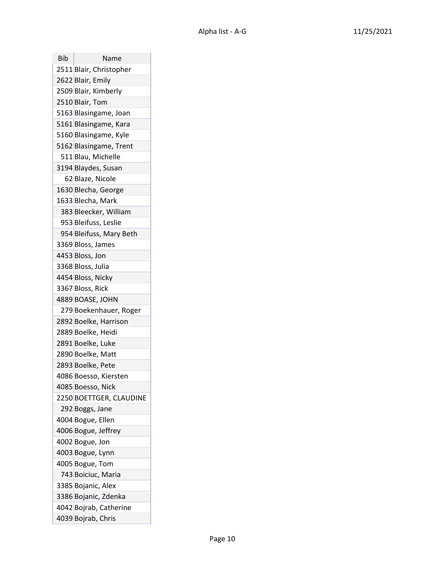| Bib | Name                    |
|-----|-------------------------|
|     | 2511 Blair, Christopher |
|     | 2622 Blair, Emily       |
|     | 2509 Blair, Kimberly    |
|     | 2510 Blair, Tom         |
|     | 5163 Blasingame, Joan   |
|     | 5161 Blasingame, Kara   |
|     | 5160 Blasingame, Kyle   |
|     | 5162 Blasingame, Trent  |
|     | 511 Blau, Michelle      |
|     | 3194 Blaydes, Susan     |
|     | 62 Blaze, Nicole        |
|     | 1630 Blecha, George     |
|     | 1633 Blecha, Mark       |
|     | 383 Bleecker, William   |
|     | 953 Bleifuss, Leslie    |
|     | 954 Bleifuss, Mary Beth |
|     | 3369 Bloss, James       |
|     | 4453 Bloss, Jon         |
|     | 3368 Bloss, Julia       |
|     | 4454 Bloss, Nicky       |
|     | 3367 Bloss, Rick        |
|     | 4889 BOASE, JOHN        |
|     | 279 Boekenhauer, Roger  |
|     | 2892 Boelke, Harrison   |
|     | 2889 Boelke, Heidi      |
|     | 2891 Boelke, Luke       |
|     | 2890 Boelke, Matt       |
|     | 2893 Boelke, Pete       |
|     | 4086 Boesso, Kiersten   |
|     | 4085 Boesso, Nick       |
|     | 2250 BOETTGER, CLAUDINE |
|     | 292 Boggs, Jane         |
|     | 4004 Bogue, Ellen       |
|     | 4006 Bogue, Jeffrey     |
|     | 4002 Bogue, Jon         |
|     | 4003 Bogue, Lynn        |
|     | 4005 Bogue, Tom         |
|     | 743 Boiciuc, Maria      |
|     | 3385 Bojanic, Alex      |
|     | 3386 Bojanic, Zdenka    |
|     | 4042 Bojrab, Catherine  |
|     | 4039 Bojrab, Chris      |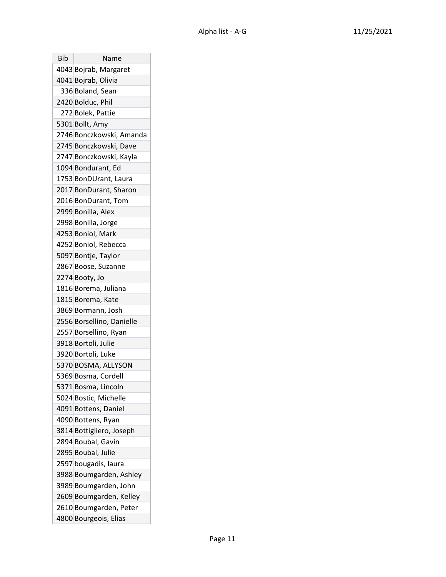| Bib | Name                      |
|-----|---------------------------|
|     | 4043 Bojrab, Margaret     |
|     | 4041 Bojrab, Olivia       |
|     | 336 Boland, Sean          |
|     | 2420 Bolduc, Phil         |
|     | 272 Bolek, Pattie         |
|     | 5301 Bollt, Amy           |
|     | 2746 Bonczkowski, Amanda  |
|     | 2745 Bonczkowski, Dave    |
|     | 2747 Bonczkowski, Kayla   |
|     | 1094 Bondurant, Ed        |
|     | 1753 BonDUrant, Laura     |
|     | 2017 BonDurant, Sharon    |
|     | 2016 BonDurant, Tom       |
|     | 2999 Bonilla, Alex        |
|     | 2998 Bonilla, Jorge       |
|     | 4253 Boniol, Mark         |
|     | 4252 Boniol, Rebecca      |
|     | 5097 Bontje, Taylor       |
|     | 2867 Boose, Suzanne       |
|     | 2274 Booty, Jo            |
|     | 1816 Borema, Juliana      |
|     | 1815 Borema, Kate         |
|     | 3869 Bormann, Josh        |
|     | 2556 Borsellino, Danielle |
|     | 2557 Borsellino, Ryan     |
|     | 3918 Bortoli, Julie       |
|     | 3920 Bortoli, Luke        |
|     | 5370 BOSMA, ALLYSON       |
|     | 5369 Bosma, Cordell       |
|     | 5371 Bosma, Lincoln       |
|     | 5024 Bostic, Michelle     |
|     | 4091 Bottens, Daniel      |
|     | 4090 Bottens, Ryan        |
|     | 3814 Bottigliero, Joseph  |
|     | 2894 Boubal, Gavin        |
|     | 2895 Boubal, Julie        |
|     | 2597 bougadis, laura      |
|     | 3988 Boumgarden, Ashley   |
|     | 3989 Boumgarden, John     |
|     | 2609 Boumgarden, Kelley   |
|     | 2610 Boumgarden, Peter    |
|     | 4800 Bourgeois, Elias     |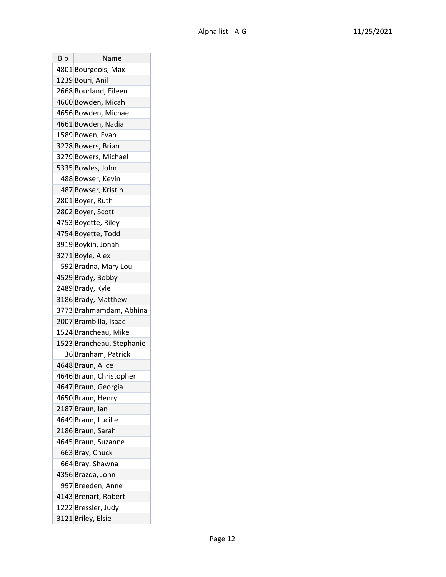| Bib | Name                      |
|-----|---------------------------|
|     | 4801 Bourgeois, Max       |
|     | 1239 Bouri, Anil          |
|     | 2668 Bourland, Eileen     |
|     | 4660 Bowden, Micah        |
|     | 4656 Bowden, Michael      |
|     | 4661 Bowden, Nadia        |
|     | 1589 Bowen, Evan          |
|     | 3278 Bowers, Brian        |
|     | 3279 Bowers, Michael      |
|     | 5335 Bowles, John         |
|     | 488 Bowser, Kevin         |
|     | 487 Bowser, Kristin       |
|     | 2801 Boyer, Ruth          |
|     | 2802 Boyer, Scott         |
|     | 4753 Boyette, Riley       |
|     | 4754 Boyette, Todd        |
|     | 3919 Boykin, Jonah        |
|     | 3271 Boyle, Alex          |
|     | 592 Bradna, Mary Lou      |
|     | 4529 Brady, Bobby         |
|     | 2489 Brady, Kyle          |
|     | 3186 Brady, Matthew       |
|     | 3773 Brahmamdam, Abhina   |
|     | 2007 Brambilla, Isaac     |
|     | 1524 Brancheau, Mike      |
|     | 1523 Brancheau, Stephanie |
|     | 36 Branham, Patrick       |
|     | 4648 Braun, Alice         |
|     | 4646 Braun, Christopher   |
|     | 4647 Braun, Georgia       |
|     | 4650 Braun, Henry         |
|     | 2187 Braun, Ian           |
|     | 4649 Braun, Lucille       |
|     | 2186 Braun, Sarah         |
|     | 4645 Braun, Suzanne       |
|     | 663 Bray, Chuck           |
|     | 664 Bray, Shawna          |
|     | 4356 Brazda, John         |
|     | 997 Breeden, Anne         |
|     | 4143 Brenart, Robert      |
|     | 1222 Bressler, Judy       |
|     | 3121 Briley, Elsie        |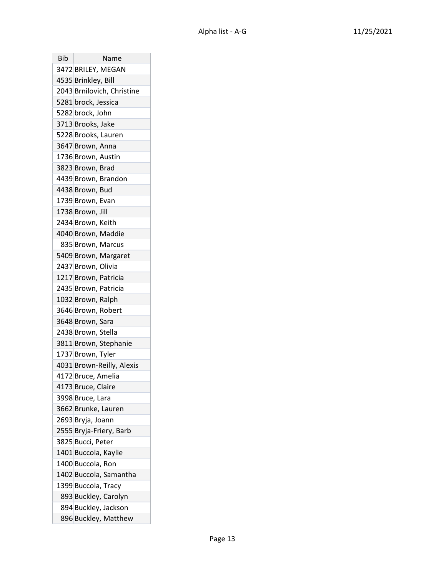| Bib | Name                       |
|-----|----------------------------|
|     | 3472 BRILEY, MEGAN         |
|     | 4535 Brinkley, Bill        |
|     | 2043 Brnilovich, Christine |
|     | 5281 brock, Jessica        |
|     | 5282 brock, John           |
|     | 3713 Brooks, Jake          |
|     | 5228 Brooks, Lauren        |
|     | 3647 Brown, Anna           |
|     | 1736 Brown, Austin         |
|     | 3823 Brown, Brad           |
|     | 4439 Brown, Brandon        |
|     | 4438 Brown, Bud            |
|     | 1739 Brown, Evan           |
|     | 1738 Brown, Jill           |
|     | 2434 Brown, Keith          |
|     | 4040 Brown, Maddie         |
|     | 835 Brown, Marcus          |
|     | 5409 Brown, Margaret       |
|     | 2437 Brown, Olivia         |
|     | 1217 Brown, Patricia       |
|     | 2435 Brown, Patricia       |
|     | 1032 Brown, Ralph          |
|     | 3646 Brown, Robert         |
|     | 3648 Brown, Sara           |
|     | 2438 Brown, Stella         |
|     | 3811 Brown, Stephanie      |
|     | 1737 Brown, Tyler          |
|     | 4031 Brown-Reilly, Alexis  |
|     | 4172 Bruce, Amelia         |
|     | 4173 Bruce, Claire         |
|     | 3998 Bruce, Lara           |
|     | 3662 Brunke, Lauren        |
|     | 2693 Bryja, Joann          |
|     | 2555 Bryja-Friery, Barb    |
|     | 3825 Bucci, Peter          |
|     | 1401 Buccola, Kaylie       |
|     | 1400 Buccola, Ron          |
|     | 1402 Buccola, Samantha     |
|     | 1399 Buccola, Tracy        |
|     | 893 Buckley, Carolyn       |
|     | 894 Buckley, Jackson       |
|     | 896 Buckley, Matthew       |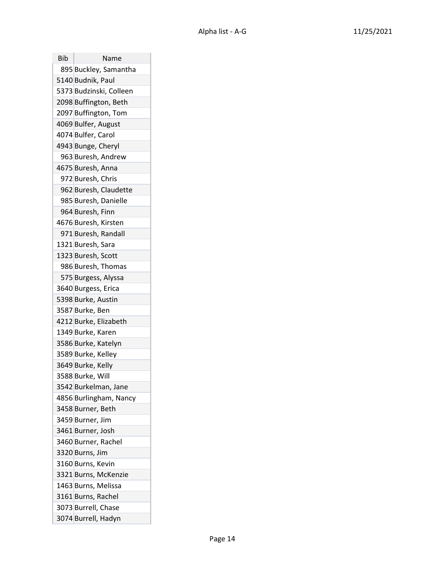| Bib | Name                    |
|-----|-------------------------|
|     | 895 Buckley, Samantha   |
|     | 5140 Budnik, Paul       |
|     | 5373 Budzinski, Colleen |
|     | 2098 Buffington, Beth   |
|     | 2097 Buffington, Tom    |
|     | 4069 Bulfer, August     |
|     | 4074 Bulfer, Carol      |
|     | 4943 Bunge, Cheryl      |
|     | 963 Buresh, Andrew      |
|     | 4675 Buresh, Anna       |
|     | 972 Buresh, Chris       |
|     | 962 Buresh, Claudette   |
|     | 985 Buresh, Danielle    |
|     | 964 Buresh, Finn        |
|     | 4676 Buresh, Kirsten    |
|     | 971 Buresh, Randall     |
|     | 1321 Buresh, Sara       |
|     | 1323 Buresh, Scott      |
|     | 986 Buresh, Thomas      |
|     | 575 Burgess, Alyssa     |
|     | 3640 Burgess, Erica     |
|     | 5398 Burke, Austin      |
|     | 3587 Burke, Ben         |
|     | 4212 Burke, Elizabeth   |
|     | 1349 Burke, Karen       |
|     | 3586 Burke, Katelyn     |
|     | 3589 Burke, Kelley      |
|     | 3649 Burke, Kelly       |
|     | 3588 Burke, Will        |
|     | 3542 Burkelman, Jane    |
|     | 4856 Burlingham, Nancy  |
|     | 3458 Burner, Beth       |
|     | 3459 Burner, Jim        |
|     | 3461 Burner, Josh       |
|     | 3460 Burner, Rachel     |
|     | 3320 Burns, Jim         |
|     | 3160 Burns, Kevin       |
|     | 3321 Burns, McKenzie    |
|     | 1463 Burns, Melissa     |
|     | 3161 Burns, Rachel      |
|     | 3073 Burrell, Chase     |
|     | 3074 Burrell, Hadyn     |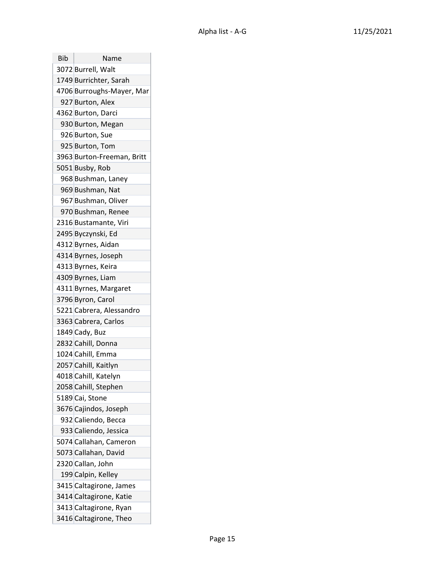| Bib | Name                       |
|-----|----------------------------|
|     | 3072 Burrell, Walt         |
|     | 1749 Burrichter, Sarah     |
|     | 4706 Burroughs-Mayer, Mar  |
|     | 927 Burton, Alex           |
|     | 4362 Burton, Darci         |
|     | 930 Burton, Megan          |
|     | 926 Burton, Sue            |
|     | 925 Burton, Tom            |
|     | 3963 Burton-Freeman, Britt |
|     | 5051 Busby, Rob            |
|     | 968 Bushman, Laney         |
|     | 969 Bushman, Nat           |
|     | 967 Bushman, Oliver        |
|     | 970 Bushman, Renee         |
|     | 2316 Bustamante, Viri      |
|     | 2495 Byczynski, Ed         |
|     | 4312 Byrnes, Aidan         |
|     | 4314 Byrnes, Joseph        |
|     | 4313 Byrnes, Keira         |
|     | 4309 Byrnes, Liam          |
|     | 4311 Byrnes, Margaret      |
|     | 3796 Byron, Carol          |
|     | 5221 Cabrera, Alessandro   |
|     | 3363 Cabrera, Carlos       |
|     | 1849 Cady, Buz             |
|     | 2832 Cahill, Donna         |
|     | 1024 Cahill, Emma          |
|     | 2057 Cahill, Kaitlyn       |
|     | 4018 Cahill, Katelyn       |
|     | 2058 Cahill, Stephen       |
|     | 5189 Cai, Stone            |
|     | 3676 Cajindos, Joseph      |
|     | 932 Caliendo, Becca        |
|     | 933 Caliendo, Jessica      |
|     | 5074 Callahan, Cameron     |
|     | 5073 Callahan, David       |
|     | 2320 Callan, John          |
|     | 199 Calpin, Kelley         |
|     | 3415 Caltagirone, James    |
|     | 3414 Caltagirone, Katie    |
|     | 3413 Caltagirone, Ryan     |
|     | 3416 Caltagirone, Theo     |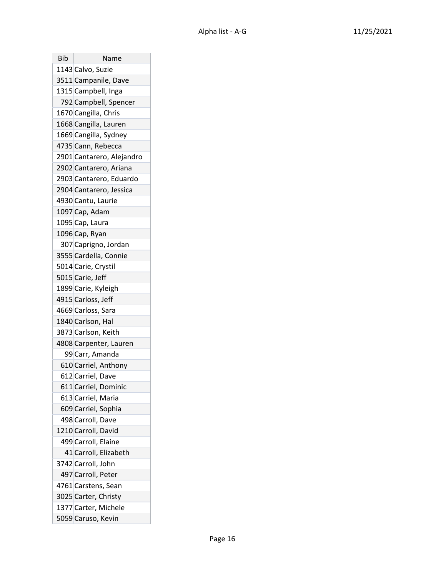| Bib | Name                      |
|-----|---------------------------|
|     | 1143 Calvo, Suzie         |
|     | 3511 Campanile, Dave      |
|     | 1315 Campbell, Inga       |
|     | 792 Campbell, Spencer     |
|     | 1670 Cangilla, Chris      |
|     | 1668 Cangilla, Lauren     |
|     | 1669 Cangilla, Sydney     |
|     | 4735 Cann, Rebecca        |
|     | 2901 Cantarero, Alejandro |
|     | 2902 Cantarero, Ariana    |
|     | 2903 Cantarero, Eduardo   |
|     | 2904 Cantarero, Jessica   |
|     | 4930 Cantu, Laurie        |
|     | 1097 Cap, Adam            |
|     | 1095 Cap, Laura           |
|     | 1096 Cap, Ryan            |
|     | 307 Caprigno, Jordan      |
|     | 3555 Cardella, Connie     |
|     | 5014 Carie, Crystil       |
|     | 5015 Carie, Jeff          |
|     | 1899 Carie, Kyleigh       |
|     | 4915 Carloss, Jeff        |
|     | 4669 Carloss, Sara        |
|     | 1840 Carlson, Hal         |
|     | 3873 Carlson, Keith       |
|     | 4808 Carpenter, Lauren    |
|     | 99 Carr, Amanda           |
|     | 610 Carriel, Anthony      |
|     | 612 Carriel, Dave         |
|     | 611 Carriel, Dominic      |
|     | 613 Carriel, Maria        |
|     | 609 Carriel, Sophia       |
|     | 498 Carroll, Dave         |
|     | 1210 Carroll, David       |
|     | 499 Carroll, Elaine       |
|     | 41 Carroll, Elizabeth     |
|     | 3742 Carroll, John        |
|     | 497 Carroll, Peter        |
|     | 4761 Carstens, Sean       |
|     | 3025 Carter, Christy      |
|     | 1377 Carter, Michele      |
|     | 5059 Caruso, Kevin        |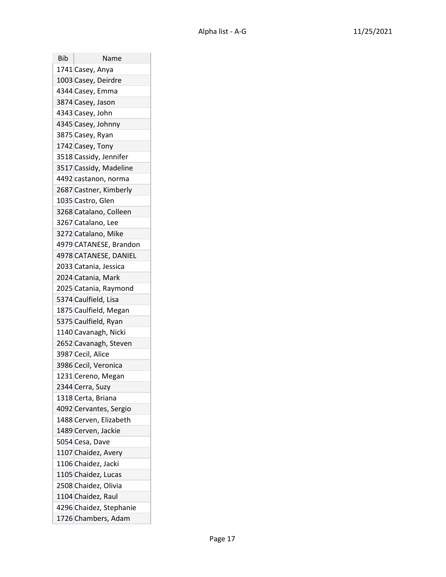| Bib | Name                    |
|-----|-------------------------|
|     | 1741 Casey, Anya        |
|     | 1003 Casey, Deirdre     |
|     | 4344 Casey, Emma        |
|     | 3874 Casey, Jason       |
|     | 4343 Casey, John        |
|     | 4345 Casey, Johnny      |
|     | 3875 Casey, Ryan        |
|     | 1742 Casey, Tony        |
|     | 3518 Cassidy, Jennifer  |
|     | 3517 Cassidy, Madeline  |
|     | 4492 castanon, norma    |
|     | 2687 Castner, Kimberly  |
|     | 1035 Castro, Glen       |
|     | 3268 Catalano, Colleen  |
|     | 3267 Catalano, Lee      |
|     | 3272 Catalano, Mike     |
|     | 4979 CATANESE, Brandon  |
|     | 4978 CATANESE, DANIEL   |
|     | 2033 Catania, Jessica   |
|     | 2024 Catania, Mark      |
|     | 2025 Catania, Raymond   |
|     | 5374 Caulfield, Lisa    |
|     | 1875 Caulfield, Megan   |
|     | 5375 Caulfield, Ryan    |
|     | 1140 Cavanagh, Nicki    |
|     | 2652 Cavanagh, Steven   |
|     | 3987 Cecil, Alice       |
|     | 3986 Cecil, Veronica    |
|     | 1231 Cereno, Megan      |
|     | 2344 Cerra, Suzy        |
|     | 1318 Certa, Briana      |
|     | 4092 Cervantes, Sergio  |
|     | 1488 Cerven, Elizabeth  |
|     | 1489 Cerven, Jackie     |
|     | 5054 Cesa, Dave         |
|     | 1107 Chaidez, Avery     |
|     | 1106 Chaidez, Jacki     |
|     | 1105 Chaidez, Lucas     |
|     | 2508 Chaidez, Olivia    |
|     | 1104 Chaidez, Raul      |
|     | 4296 Chaidez, Stephanie |
|     | 1726 Chambers, Adam     |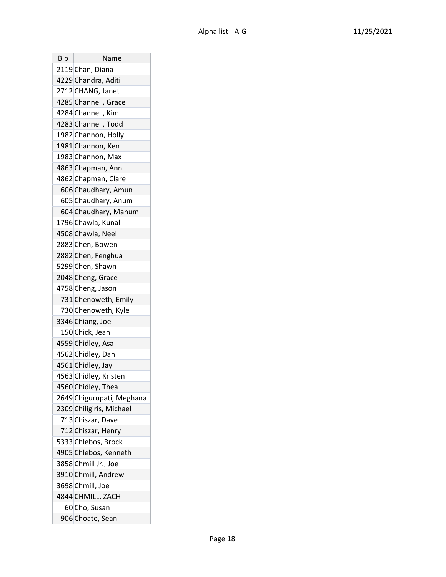| Bib | Name                      |
|-----|---------------------------|
|     | 2119 Chan, Diana          |
|     | 4229 Chandra, Aditi       |
|     | 2712 CHANG, Janet         |
|     | 4285 Channell, Grace      |
|     | 4284 Channell, Kim        |
|     | 4283 Channell, Todd       |
|     | 1982 Channon, Holly       |
|     | 1981 Channon, Ken         |
|     | 1983 Channon, Max         |
|     | 4863 Chapman, Ann         |
|     | 4862 Chapman, Clare       |
|     | 606 Chaudhary, Amun       |
|     | 605 Chaudhary, Anum       |
|     | 604 Chaudhary, Mahum      |
|     | 1796 Chawla, Kunal        |
|     | 4508 Chawla, Neel         |
|     | 2883 Chen, Bowen          |
|     | 2882 Chen, Fenghua        |
|     | 5299 Chen, Shawn          |
|     | 2048 Cheng, Grace         |
|     | 4758 Cheng, Jason         |
|     | 731 Chenoweth, Emily      |
|     | 730 Chenoweth, Kyle       |
|     | 3346 Chiang, Joel         |
|     | 150 Chick, Jean           |
|     | 4559 Chidley, Asa         |
|     | 4562 Chidley, Dan         |
|     | 4561 Chidley, Jay         |
|     | 4563 Chidley, Kristen     |
|     | 4560 Chidley, Thea        |
|     | 2649 Chigurupati, Meghana |
|     | 2309 Chiligiris, Michael  |
|     | 713 Chiszar, Dave         |
|     | 712 Chiszar, Henry        |
|     | 5333 Chlebos, Brock       |
|     | 4905 Chlebos, Kenneth     |
|     | 3858 Chmill Jr., Joe      |
|     | 3910 Chmill, Andrew       |
|     | 3698 Chmill, Joe          |
|     | 4844 CHMILL, ZACH         |
|     | 60 Cho, Susan             |
|     | 906 Choate, Sean          |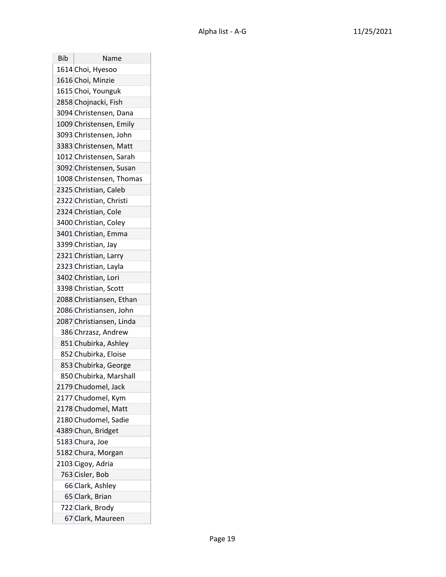| Bib | Name                     |
|-----|--------------------------|
|     | 1614 Choi, Hyesoo        |
|     | 1616 Choi, Minzie        |
|     | 1615 Choi, Younguk       |
|     | 2858 Chojnacki, Fish     |
|     | 3094 Christensen, Dana   |
|     | 1009 Christensen, Emily  |
|     | 3093 Christensen, John   |
|     | 3383 Christensen, Matt   |
|     | 1012 Christensen, Sarah  |
|     | 3092 Christensen, Susan  |
|     | 1008 Christensen, Thomas |
|     | 2325 Christian, Caleb    |
|     | 2322 Christian, Christi  |
|     | 2324 Christian, Cole     |
|     | 3400 Christian, Coley    |
|     | 3401 Christian, Emma     |
|     | 3399 Christian, Jay      |
|     | 2321 Christian, Larry    |
|     | 2323 Christian, Layla    |
|     | 3402 Christian, Lori     |
|     | 3398 Christian, Scott    |
|     | 2088 Christiansen, Ethan |
|     | 2086 Christiansen, John  |
|     | 2087 Christiansen, Linda |
|     | 386 Chrzasz, Andrew      |
|     | 851 Chubirka, Ashley     |
|     | 852 Chubirka, Eloise     |
|     | 853 Chubirka, George     |
|     | 850 Chubirka, Marshall   |
|     | 2179 Chudomel, Jack      |
|     | 2177 Chudomel, Kym       |
|     | 2178 Chudomel, Matt      |
|     | 2180 Chudomel, Sadie     |
|     | 4389 Chun, Bridget       |
|     | 5183 Chura, Joe          |
|     | 5182 Chura, Morgan       |
|     | 2103 Cigoy, Adria        |
|     | 763 Cisler, Bob          |
|     | 66 Clark, Ashley         |
|     | 65 Clark, Brian          |
|     | 722 Clark, Brody         |
|     | 67 Clark, Maureen        |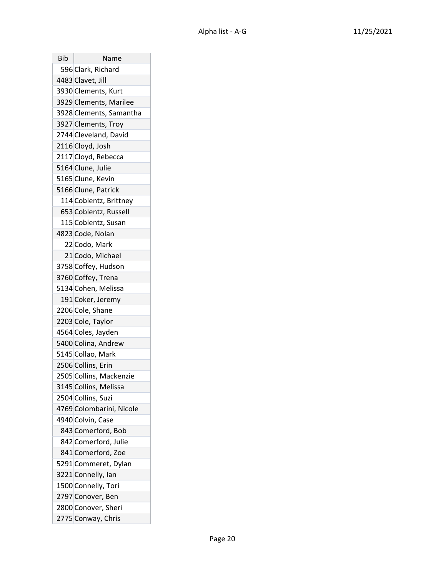| Bib | Name                     |
|-----|--------------------------|
|     | 596 Clark, Richard       |
|     | 4483 Clavet, Jill        |
|     | 3930 Clements, Kurt      |
|     | 3929 Clements, Marilee   |
|     | 3928 Clements, Samantha  |
|     | 3927 Clements, Troy      |
|     | 2744 Cleveland, David    |
|     | 2116 Cloyd, Josh         |
|     | 2117 Cloyd, Rebecca      |
|     | 5164 Clune, Julie        |
|     | 5165 Clune, Kevin        |
|     | 5166 Clune, Patrick      |
|     | 114 Coblentz, Brittney   |
|     | 653 Coblentz, Russell    |
|     | 115 Coblentz, Susan      |
|     | 4823 Code, Nolan         |
|     | 22 Codo, Mark            |
|     | 21 Codo, Michael         |
|     | 3758 Coffey, Hudson      |
|     | 3760 Coffey, Trena       |
|     | 5134 Cohen, Melissa      |
|     | 191 Coker, Jeremy        |
|     | 2206 Cole, Shane         |
|     | 2203 Cole, Taylor        |
|     | 4564 Coles, Jayden       |
|     | 5400 Colina, Andrew      |
|     | 5145 Collao, Mark        |
|     | 2506 Collins, Erin       |
|     | 2505 Collins, Mackenzie  |
|     | 3145 Collins, Melissa    |
|     | 2504 Collins, Suzi       |
|     | 4769 Colombarini, Nicole |
|     | 4940 Colvin, Case        |
|     | 843 Comerford, Bob       |
|     | 842 Comerford, Julie     |
|     | 841 Comerford, Zoe       |
|     | 5291 Commeret, Dylan     |
|     | 3221 Connelly, Ian       |
|     | 1500 Connelly, Tori      |
|     | 2797 Conover, Ben        |
|     | 2800 Conover, Sheri      |
|     | 2775 Conway, Chris       |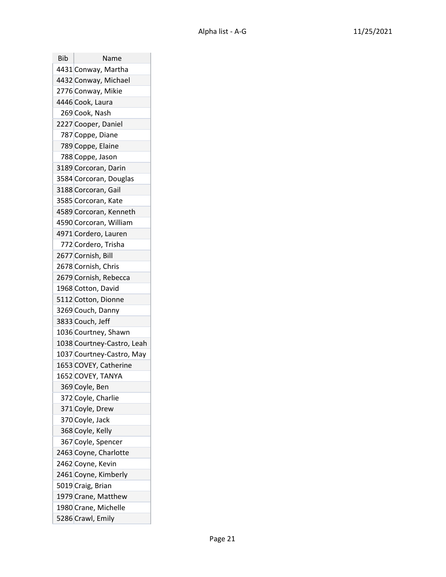| Bib | Name                       |
|-----|----------------------------|
|     | 4431 Conway, Martha        |
|     | 4432 Conway, Michael       |
|     | 2776 Conway, Mikie         |
|     | 4446 Cook, Laura           |
|     | 269 Cook, Nash             |
|     | 2227 Cooper, Daniel        |
|     | 787 Coppe, Diane           |
|     | 789 Coppe, Elaine          |
|     | 788 Coppe, Jason           |
|     | 3189 Corcoran, Darin       |
|     | 3584 Corcoran, Douglas     |
|     | 3188 Corcoran, Gail        |
|     | 3585 Corcoran, Kate        |
|     | 4589 Corcoran, Kenneth     |
|     | 4590 Corcoran, William     |
|     | 4971 Cordero, Lauren       |
|     | 772 Cordero, Trisha        |
|     | 2677 Cornish, Bill         |
|     | 2678 Cornish, Chris        |
|     | 2679 Cornish, Rebecca      |
|     | 1968 Cotton, David         |
|     | 5112 Cotton, Dionne        |
|     | 3269 Couch, Danny          |
|     | 3833 Couch, Jeff           |
|     | 1036 Courtney, Shawn       |
|     | 1038 Courtney-Castro, Leah |
|     | 1037 Courtney-Castro, May  |
|     | 1653 COVEY, Catherine      |
|     | 1652 COVEY, TANYA          |
|     | 369 Coyle, Ben             |
|     | 372 Coyle, Charlie         |
|     | 371 Coyle, Drew            |
|     | 370 Coyle, Jack            |
|     | 368 Coyle, Kelly           |
|     | 367 Coyle, Spencer         |
|     | 2463 Coyne, Charlotte      |
|     | 2462 Coyne, Kevin          |
|     | 2461 Coyne, Kimberly       |
|     | 5019 Craig, Brian          |
|     | 1979 Crane, Matthew        |
|     | 1980 Crane, Michelle       |
|     | 5286 Crawl, Emily          |

T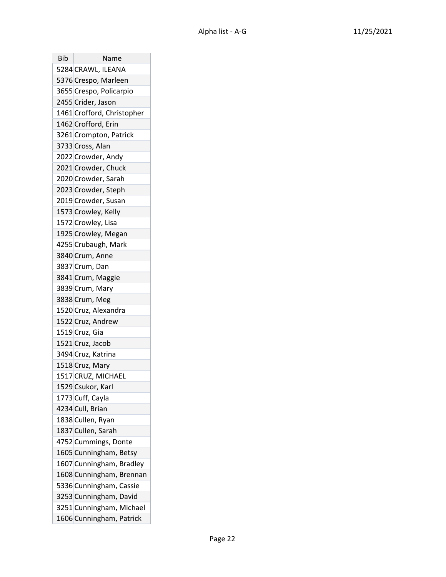| Bib | Name                       |
|-----|----------------------------|
|     | 5284 CRAWL, ILEANA         |
|     | 5376 Crespo, Marleen       |
|     | 3655 Crespo, Policarpio    |
|     | 2455 Crider, Jason         |
|     | 1461 Crofford, Christopher |
|     | 1462 Crofford, Erin        |
|     | 3261 Crompton, Patrick     |
|     | 3733 Cross, Alan           |
|     | 2022 Crowder, Andy         |
|     | 2021 Crowder, Chuck        |
|     | 2020 Crowder, Sarah        |
|     | 2023 Crowder, Steph        |
|     | 2019 Crowder, Susan        |
|     | 1573 Crowley, Kelly        |
|     | 1572 Crowley, Lisa         |
|     | 1925 Crowley, Megan        |
|     | 4255 Crubaugh, Mark        |
|     | 3840 Crum, Anne            |
|     | 3837 Crum, Dan             |
|     | 3841 Crum, Maggie          |
|     | 3839 Crum, Mary            |
|     | 3838 Crum, Meg             |
|     | 1520 Cruz, Alexandra       |
|     | 1522 Cruz, Andrew          |
|     | 1519 Cruz, Gia             |
|     | 1521 Cruz, Jacob           |
|     | 3494 Cruz, Katrina         |
|     | 1518 Cruz, Mary            |
|     | 1517 CRUZ, MICHAEL         |
|     | 1529 Csukor, Karl          |
|     | 1773 Cuff, Cayla           |
|     | 4234 Cull, Brian           |
|     | 1838 Cullen, Ryan          |
|     | 1837 Cullen, Sarah         |
|     | 4752 Cummings, Donte       |
|     | 1605 Cunningham, Betsy     |
|     | 1607 Cunningham, Bradley   |
|     | 1608 Cunningham, Brennan   |
|     | 5336 Cunningham, Cassie    |
|     | 3253 Cunningham, David     |
|     | 3251 Cunningham, Michael   |
|     | 1606 Cunningham, Patrick   |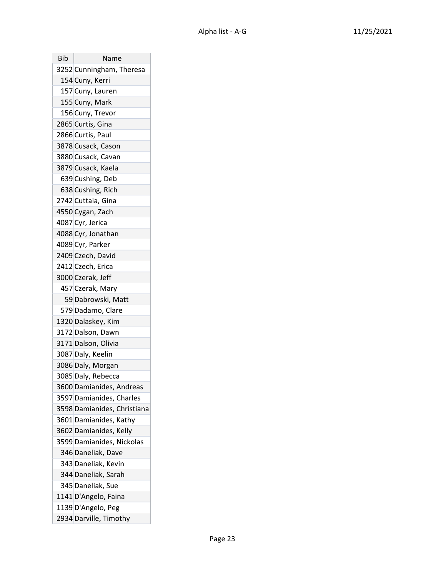| <b>Bib</b> | Name                        |
|------------|-----------------------------|
|            | 3252 Cunningham, Theresa    |
|            | 154 Cuny, Kerri             |
|            | 157 Cuny, Lauren            |
|            | 155 Cuny, Mark              |
|            | 156 Cuny, Trevor            |
|            | 2865 Curtis, Gina           |
|            | 2866 Curtis, Paul           |
|            | 3878 Cusack, Cason          |
|            | 3880 Cusack, Cavan          |
|            | 3879 Cusack, Kaela          |
|            | 639 Cushing, Deb            |
|            | 638 Cushing, Rich           |
|            | 2742 Cuttaia, Gina          |
|            | 4550 Cygan, Zach            |
|            | 4087 Cyr, Jerica            |
|            | 4088 Cyr, Jonathan          |
|            | 4089 Cyr, Parker            |
|            | 2409 Czech, David           |
|            | 2412 Czech, Erica           |
|            | 3000 Czerak, Jeff           |
|            | 457 Czerak, Mary            |
|            | 59 Dabrowski, Matt          |
|            | 579 Dadamo, Clare           |
|            | 1320 Dalaskey, Kim          |
|            | 3172 Dalson, Dawn           |
|            | 3171 Dalson, Olivia         |
|            | 3087 Daly, Keelin           |
|            | 3086 Daly, Morgan           |
|            | 3085 Daly, Rebecca          |
|            | 3600 Damianides, Andreas    |
|            | 3597 Damianides, Charles    |
|            | 3598 Damianides, Christiana |
|            | 3601 Damianides, Kathy      |
|            | 3602 Damianides, Kelly      |
|            | 3599 Damianides, Nickolas   |
|            | 346 Daneliak, Dave          |
|            | 343 Daneliak, Kevin         |
|            | 344 Daneliak, Sarah         |
|            | 345 Daneliak, Sue           |
|            | 1141 D'Angelo, Faina        |
|            | 1139 D'Angelo, Peg          |
|            | 2934 Darville, Timothy      |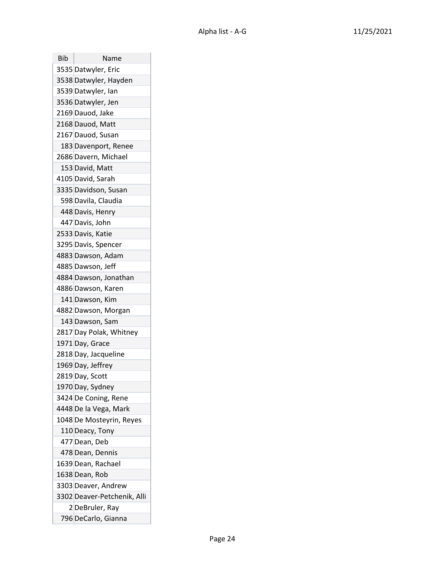| Bib | Name                        |
|-----|-----------------------------|
|     | 3535 Datwyler, Eric         |
|     | 3538 Datwyler, Hayden       |
|     | 3539 Datwyler, Ian          |
|     | 3536 Datwyler, Jen          |
|     | 2169 Dauod, Jake            |
|     | 2168 Dauod, Matt            |
|     | 2167 Dauod, Susan           |
|     | 183 Davenport, Renee        |
|     | 2686 Davern, Michael        |
|     | 153 David, Matt             |
|     | 4105 David, Sarah           |
|     | 3335 Davidson, Susan        |
|     | 598 Davila, Claudia         |
|     | 448 Davis, Henry            |
|     | 447 Davis, John             |
|     | 2533 Davis, Katie           |
|     | 3295 Davis, Spencer         |
|     | 4883 Dawson, Adam           |
|     | 4885 Dawson, Jeff           |
|     | 4884 Dawson, Jonathan       |
|     | 4886 Dawson, Karen          |
|     | 141 Dawson, Kim             |
|     | 4882 Dawson, Morgan         |
|     | 143 Dawson, Sam             |
|     | 2817 Day Polak, Whitney     |
|     | 1971 Day, Grace             |
|     | 2818 Day, Jacqueline        |
|     | 1969 Day, Jeffrey           |
|     | 2819 Day, Scott             |
|     | 1970 Day, Sydney            |
|     | 3424 De Coning, Rene        |
|     | 4448 De la Vega, Mark       |
|     | 1048 De Mosteyrin, Reyes    |
|     | 110 Deacy, Tony             |
|     | 477 Dean, Deb               |
|     | 478 Dean, Dennis            |
|     | 1639 Dean, Rachael          |
|     | 1638 Dean, Rob              |
|     | 3303 Deaver, Andrew         |
|     | 3302 Deaver-Petchenik, Alli |
|     | 2 DeBruler, Ray             |
|     | 796 DeCarlo, Gianna         |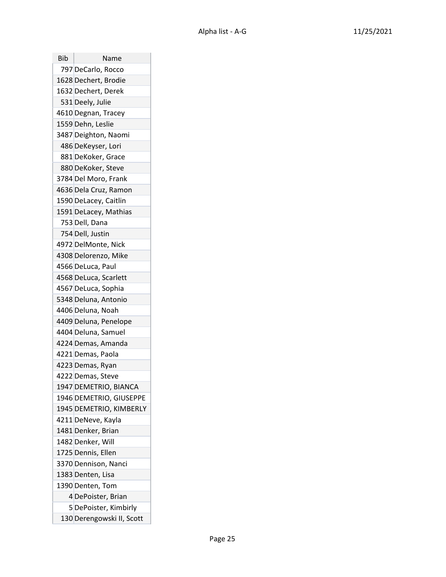| Bib | Name                      |
|-----|---------------------------|
|     | 797 DeCarlo, Rocco        |
|     | 1628 Dechert, Brodie      |
|     | 1632 Dechert, Derek       |
|     | 531 Deely, Julie          |
|     | 4610 Degnan, Tracey       |
|     | 1559 Dehn, Leslie         |
|     | 3487 Deighton, Naomi      |
|     | 486 DeKeyser, Lori        |
|     | 881 DeKoker, Grace        |
|     | 880 DeKoker, Steve        |
|     | 3784 Del Moro, Frank      |
|     | 4636 Dela Cruz, Ramon     |
|     | 1590 DeLacey, Caitlin     |
|     | 1591 DeLacey, Mathias     |
|     | 753 Dell, Dana            |
|     | 754 Dell, Justin          |
|     | 4972 DelMonte, Nick       |
|     | 4308 Delorenzo, Mike      |
|     | 4566 DeLuca, Paul         |
|     | 4568 DeLuca, Scarlett     |
|     | 4567 DeLuca, Sophia       |
|     | 5348 Deluna, Antonio      |
|     | 4406 Deluna, Noah         |
|     | 4409 Deluna, Penelope     |
|     | 4404 Deluna, Samuel       |
|     | 4224 Demas, Amanda        |
|     | 4221 Demas, Paola         |
|     | 4223 Demas, Ryan          |
|     | 4222 Demas, Steve         |
|     | 1947 DEMETRIO, BIANCA     |
|     | 1946 DEMETRIO, GIUSEPPE   |
|     | 1945 DEMETRIO, KIMBERLY   |
|     | 4211 DeNeve, Kayla        |
|     | 1481 Denker, Brian        |
|     | 1482 Denker, Will         |
|     | 1725 Dennis, Ellen        |
|     | 3370 Dennison, Nanci      |
|     | 1383 Denten, Lisa         |
|     | 1390 Denten, Tom          |
|     | 4 DePoister, Brian        |
|     | 5 DePoister, Kimbirly     |
|     | 130 Derengowski II, Scott |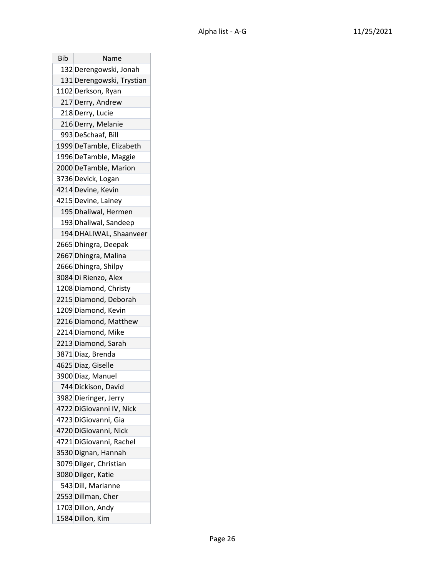| Bib | Name                      |
|-----|---------------------------|
|     | 132 Derengowski, Jonah    |
|     | 131 Derengowski, Trystian |
|     | 1102 Derkson, Ryan        |
|     | 217 Derry, Andrew         |
|     | 218 Derry, Lucie          |
|     | 216 Derry, Melanie        |
|     | 993 DeSchaaf, Bill        |
|     | 1999 DeTamble, Elizabeth  |
|     | 1996 DeTamble, Maggie     |
|     | 2000 DeTamble, Marion     |
|     | 3736 Devick, Logan        |
|     | 4214 Devine, Kevin        |
|     | 4215 Devine, Lainey       |
|     | 195 Dhaliwal, Hermen      |
|     | 193 Dhaliwal, Sandeep     |
|     | 194 DHALIWAL, Shaanveer   |
|     | 2665 Dhingra, Deepak      |
|     | 2667 Dhingra, Malina      |
|     | 2666 Dhingra, Shilpy      |
|     | 3084 Di Rienzo, Alex      |
|     | 1208 Diamond, Christy     |
|     | 2215 Diamond, Deborah     |
|     | 1209 Diamond, Kevin       |
|     | 2216 Diamond, Matthew     |
|     | 2214 Diamond, Mike        |
|     | 2213 Diamond, Sarah       |
|     | 3871 Diaz, Brenda         |
|     | 4625 Diaz, Giselle        |
|     | 3900 Diaz, Manuel         |
|     | 744 Dickison, David       |
|     | 3982 Dieringer, Jerry     |
|     | 4722 DiGiovanni IV, Nick  |
|     | 4723 DiGiovanni, Gia      |
|     | 4720 DiGiovanni, Nick     |
|     | 4721 DiGiovanni, Rachel   |
|     | 3530 Dignan, Hannah       |
|     | 3079 Dilger, Christian    |
|     | 3080 Dilger, Katie        |
|     | 543 Dill, Marianne        |
|     | 2553 Dillman, Cher        |
|     | 1703 Dillon, Andy         |
|     | 1584 Dillon, Kim          |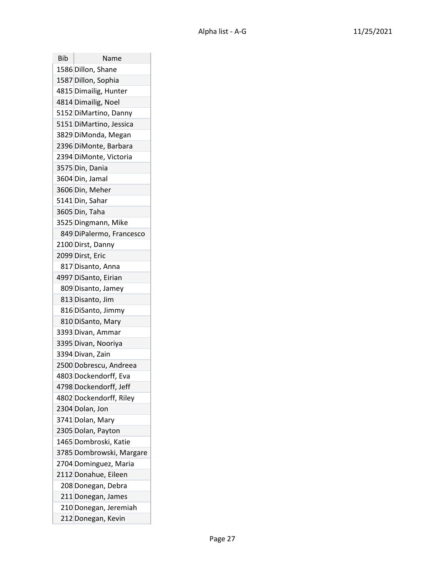| Bib | Name                     |
|-----|--------------------------|
|     | 1586 Dillon, Shane       |
|     | 1587 Dillon, Sophia      |
|     | 4815 Dimailig, Hunter    |
|     | 4814 Dimailig, Noel      |
|     | 5152 DiMartino, Danny    |
|     | 5151 DiMartino, Jessica  |
|     | 3829 DiMonda, Megan      |
|     | 2396 DiMonte, Barbara    |
|     | 2394 DiMonte, Victoria   |
|     | 3575 Din, Dania          |
|     | 3604 Din, Jamal          |
|     | 3606 Din, Meher          |
|     | 5141 Din, Sahar          |
|     | 3605 Din, Taha           |
|     | 3525 Dingmann, Mike      |
|     | 849 DiPalermo, Francesco |
|     | 2100 Dirst, Danny        |
|     | 2099 Dirst, Eric         |
|     | 817 Disanto, Anna        |
|     | 4997 DiSanto, Eirian     |
|     | 809 Disanto, Jamey       |
|     | 813 Disanto, Jim         |
|     | 816 DiSanto, Jimmy       |
|     | 810 DiSanto, Mary        |
|     | 3393 Divan, Ammar        |
|     | 3395 Divan, Nooriya      |
|     | 3394 Divan, Zain         |
|     | 2500 Dobrescu, Andreea   |
|     | 4803 Dockendorff, Eva    |
|     | 4798 Dockendorff, Jeff   |
|     | 4802 Dockendorff, Riley  |
|     | 2304 Dolan, Jon          |
|     | 3741 Dolan, Mary         |
|     | 2305 Dolan, Payton       |
|     | 1465 Dombroski, Katie    |
|     | 3785 Dombrowski, Margare |
|     | 2704 Dominguez, Maria    |
|     | 2112 Donahue, Eileen     |
|     | 208 Donegan, Debra       |
|     | 211 Donegan, James       |
|     | 210 Donegan, Jeremiah    |
|     | 212 Donegan, Kevin       |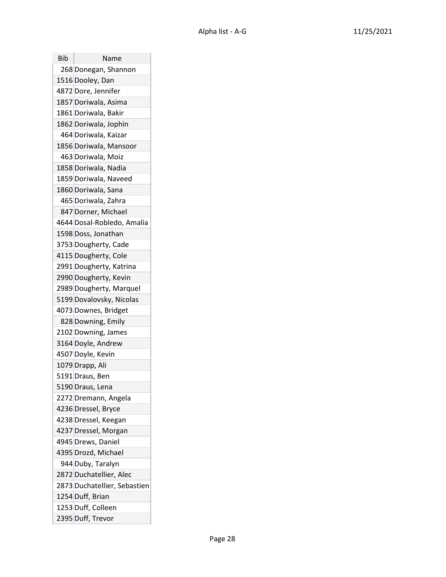| Bib | Name                         |
|-----|------------------------------|
|     | 268 Donegan, Shannon         |
|     | 1516 Dooley, Dan             |
|     | 4872 Dore, Jennifer          |
|     | 1857 Doriwala, Asima         |
|     | 1861 Doriwala, Bakir         |
|     | 1862 Doriwala, Jophin        |
|     | 464 Doriwala, Kaizar         |
|     | 1856 Doriwala, Mansoor       |
|     | 463 Doriwala, Moiz           |
|     | 1858 Doriwala, Nadia         |
|     | 1859 Doriwala, Naveed        |
|     | 1860 Doriwala, Sana          |
|     | 465 Doriwala, Zahra          |
|     | 847 Dorner, Michael          |
|     | 4644 Dosal-Robledo, Amalia   |
|     | 1598 Doss, Jonathan          |
|     | 3753 Dougherty, Cade         |
|     | 4115 Dougherty, Cole         |
|     | 2991 Dougherty, Katrina      |
|     | 2990 Dougherty, Kevin        |
|     | 2989 Dougherty, Marquel      |
|     | 5199 Dovalovsky, Nicolas     |
|     | 4073 Downes, Bridget         |
|     | 828 Downing, Emily           |
|     | 2102 Downing, James          |
|     | 3164 Doyle, Andrew           |
|     | 4507 Doyle, Kevin            |
|     | 1079 Drapp, Ali              |
|     | 5191 Draus, Ben              |
|     | 5190 Draus, Lena             |
|     | 2272 Dremann, Angela         |
|     | 4236 Dressel, Bryce          |
|     | 4238 Dressel, Keegan         |
|     | 4237 Dressel, Morgan         |
|     | 4945 Drews, Daniel           |
|     | 4395 Drozd, Michael          |
|     | 944 Duby, Taralyn            |
|     | 2872 Duchatellier, Alec      |
|     | 2873 Duchatellier, Sebastien |
|     | 1254 Duff, Brian             |
|     | 1253 Duff, Colleen           |
|     | 2395 Duff, Trevor            |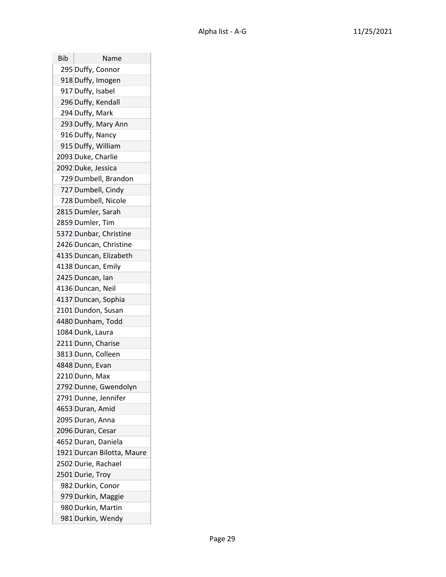| Bib | Name                       |
|-----|----------------------------|
|     | 295 Duffy, Connor          |
|     | 918 Duffy, Imogen          |
|     | 917 Duffy, Isabel          |
|     | 296 Duffy, Kendall         |
|     | 294 Duffy, Mark            |
|     | 293 Duffy, Mary Ann        |
|     | 916 Duffy, Nancy           |
|     | 915 Duffy, William         |
|     | 2093 Duke, Charlie         |
|     | 2092 Duke, Jessica         |
|     | 729 Dumbell, Brandon       |
|     | 727 Dumbell, Cindy         |
|     | 728 Dumbell, Nicole        |
|     | 2815 Dumler, Sarah         |
|     | 2859 Dumler, Tim           |
|     | 5372 Dunbar, Christine     |
|     | 2426 Duncan, Christine     |
|     | 4135 Duncan, Elizabeth     |
|     | 4138 Duncan, Emily         |
|     | 2425 Duncan, Ian           |
|     | 4136 Duncan, Neil          |
|     | 4137 Duncan, Sophia        |
|     | 2101 Dundon, Susan         |
|     | 4480 Dunham, Todd          |
|     | 1084 Dunk, Laura           |
|     | 2211 Dunn, Charise         |
|     | 3813 Dunn, Colleen         |
|     | 4848 Dunn, Evan            |
|     | 2210 Dunn, Max             |
|     | 2792 Dunne, Gwendolyn      |
|     | 2791 Dunne, Jennifer       |
|     | 4653 Duran, Amid           |
|     | 2095 Duran, Anna           |
|     | 2096 Duran, Cesar          |
|     | 4652 Duran, Daniela        |
|     | 1921 Durcan Bilotta, Maure |
|     | 2502 Durie, Rachael        |
|     | 2501 Durie, Troy           |
|     | 982 Durkin, Conor          |
|     | 979 Durkin, Maggie         |
|     | 980 Durkin, Martin         |
|     | 981 Durkin, Wendy          |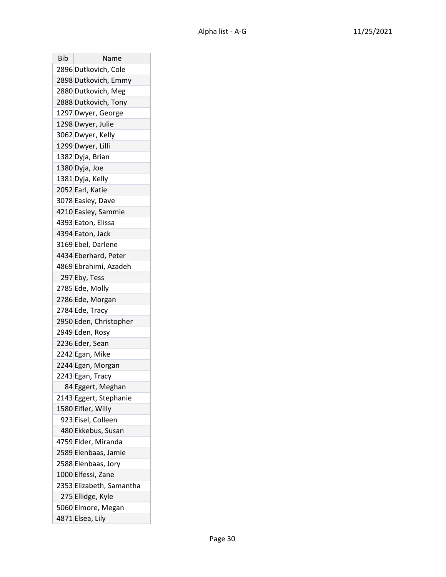| Bib | Name                     |
|-----|--------------------------|
|     | 2896 Dutkovich, Cole     |
|     | 2898 Dutkovich, Emmy     |
|     | 2880 Dutkovich, Meg      |
|     | 2888 Dutkovich, Tony     |
|     | 1297 Dwyer, George       |
|     | 1298 Dwyer, Julie        |
|     | 3062 Dwyer, Kelly        |
|     | 1299 Dwyer, Lilli        |
|     | 1382 Dyja, Brian         |
|     | 1380 Dyja, Joe           |
|     | 1381 Dyja, Kelly         |
|     | 2052 Earl, Katie         |
|     | 3078 Easley, Dave        |
|     | 4210 Easley, Sammie      |
|     | 4393 Eaton, Elissa       |
|     | 4394 Eaton, Jack         |
|     | 3169 Ebel, Darlene       |
|     | 4434 Eberhard, Peter     |
|     | 4869 Ebrahimi, Azadeh    |
|     | 297 Eby, Tess            |
|     | 2785 Ede, Molly          |
|     | 2786 Ede, Morgan         |
|     | 2784 Ede, Tracy          |
|     | 2950 Eden, Christopher   |
|     | 2949 Eden, Rosy          |
|     | 2236 Eder, Sean          |
|     | 2242 Egan, Mike          |
|     | 2244 Egan, Morgan        |
|     | 2243 Egan, Tracy         |
|     | 84 Eggert, Meghan        |
|     | 2143 Eggert, Stephanie   |
|     | 1580 Eifler, Willy       |
|     | 923 Eisel, Colleen       |
|     | 480 Ekkebus, Susan       |
|     | 4759 Elder, Miranda      |
|     | 2589 Elenbaas, Jamie     |
|     | 2588 Elenbaas, Jory      |
|     | 1000 Elfessi, Zane       |
|     | 2353 Elizabeth, Samantha |
|     | 275 Ellidge, Kyle        |
|     | 5060 Elmore, Megan       |
|     | 4871 Elsea, Lily         |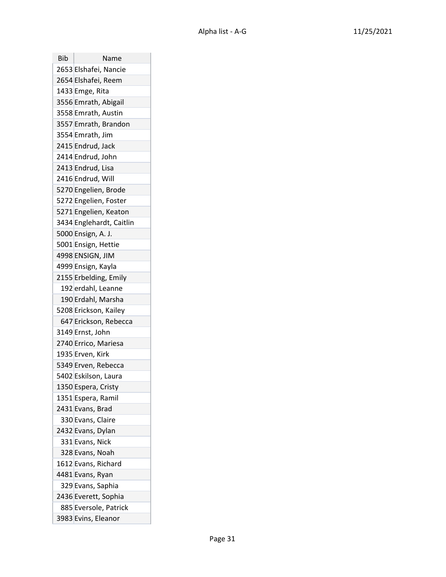| Bib | Name                     |
|-----|--------------------------|
|     | 2653 Elshafei, Nancie    |
|     | 2654 Elshafei, Reem      |
|     | 1433 Emge, Rita          |
|     | 3556 Emrath, Abigail     |
|     | 3558 Emrath, Austin      |
|     | 3557 Emrath, Brandon     |
|     | 3554 Emrath, Jim         |
|     | 2415 Endrud, Jack        |
|     | 2414 Endrud, John        |
|     | 2413 Endrud, Lisa        |
|     | 2416 Endrud, Will        |
|     | 5270 Engelien, Brode     |
|     | 5272 Engelien, Foster    |
|     | 5271 Engelien, Keaton    |
|     | 3434 Englehardt, Caitlin |
|     | 5000 Ensign, A. J.       |
|     | 5001 Ensign, Hettie      |
|     | 4998 ENSIGN, JIM         |
|     | 4999 Ensign, Kayla       |
|     | 2155 Erbelding, Emily    |
|     | 192 erdahl, Leanne       |
|     | 190 Erdahl, Marsha       |
|     | 5208 Erickson, Kailey    |
|     | 647 Erickson, Rebecca    |
|     | 3149 Ernst, John         |
|     | 2740 Errico, Mariesa     |
|     | 1935 Erven, Kirk         |
|     | 5349 Erven, Rebecca      |
|     | 5402 Eskilson, Laura     |
|     | 1350 Espera, Cristy      |
|     | 1351 Espera, Ramil       |
|     | 2431 Evans, Brad         |
|     | 330 Evans, Claire        |
|     | 2432 Evans, Dylan        |
|     | 331 Evans, Nick          |
|     | 328 Evans, Noah          |
|     | 1612 Evans, Richard      |
|     | 4481 Evans, Ryan         |
|     | 329 Evans, Saphia        |
|     | 2436 Everett, Sophia     |
|     | 885 Eversole, Patrick    |
|     | 3983 Evins, Eleanor      |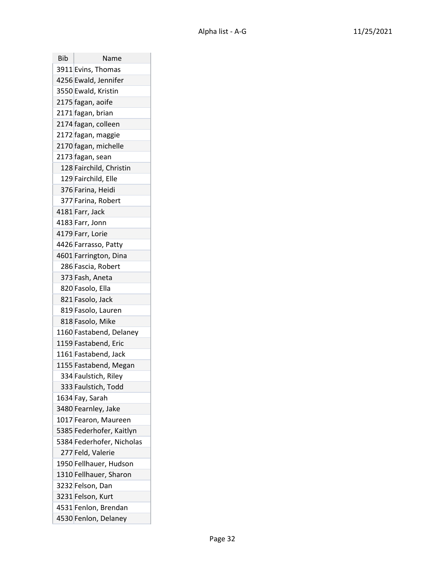| Bib | Name                      |
|-----|---------------------------|
|     | 3911 Evins, Thomas        |
|     | 4256 Ewald, Jennifer      |
|     | 3550 Ewald, Kristin       |
|     | 2175 fagan, aoife         |
|     | 2171 fagan, brian         |
|     | 2174 fagan, colleen       |
|     | 2172 fagan, maggie        |
|     | 2170 fagan, michelle      |
|     | 2173 fagan, sean          |
|     | 128 Fairchild, Christin   |
|     | 129 Fairchild, Elle       |
|     | 376 Farina, Heidi         |
|     | 377 Farina, Robert        |
|     | 4181 Farr, Jack           |
|     | 4183 Farr, Jonn           |
|     | 4179 Farr, Lorie          |
|     | 4426 Farrasso, Patty      |
|     | 4601 Farrington, Dina     |
|     | 286 Fascia, Robert        |
|     | 373 Fash, Aneta           |
|     | 820 Fasolo, Ella          |
|     | 821 Fasolo, Jack          |
|     | 819 Fasolo, Lauren        |
|     | 818 Fasolo, Mike          |
|     | 1160 Fastabend, Delaney   |
|     | 1159 Fastabend, Eric      |
|     | 1161 Fastabend, Jack      |
|     | 1155 Fastabend, Megan     |
|     | 334 Faulstich, Riley      |
|     | 333 Faulstich, Todd       |
|     | 1634 Fay, Sarah           |
|     | 3480 Fearnley, Jake       |
|     | 1017 Fearon, Maureen      |
|     | 5385 Federhofer, Kaitlyn  |
|     | 5384 Federhofer, Nicholas |
|     | 277 Feld, Valerie         |
|     | 1950 Fellhauer, Hudson    |
|     | 1310 Fellhauer, Sharon    |
|     | 3232 Felson, Dan          |
|     | 3231 Felson, Kurt         |
|     | 4531 Fenlon, Brendan      |
|     | 4530 Fenlon, Delaney      |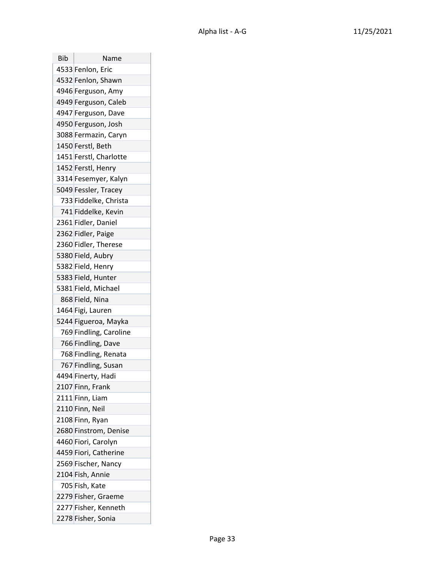| Bib | Name                   |
|-----|------------------------|
|     | 4533 Fenlon, Eric      |
|     | 4532 Fenlon, Shawn     |
|     | 4946 Ferguson, Amy     |
|     | 4949 Ferguson, Caleb   |
|     | 4947 Ferguson, Dave    |
|     | 4950 Ferguson, Josh    |
|     | 3088 Fermazin, Caryn   |
|     | 1450 Ferstl, Beth      |
|     | 1451 Ferstl, Charlotte |
|     | 1452 Ferstl, Henry     |
|     | 3314 Fesemyer, Kalyn   |
|     | 5049 Fessler, Tracey   |
|     | 733 Fiddelke, Christa  |
|     | 741 Fiddelke, Kevin    |
|     | 2361 Fidler, Daniel    |
|     | 2362 Fidler, Paige     |
|     | 2360 Fidler, Therese   |
|     | 5380 Field, Aubry      |
|     | 5382 Field, Henry      |
|     | 5383 Field, Hunter     |
|     | 5381 Field, Michael    |
|     | 868 Field, Nina        |
|     | 1464 Figi, Lauren      |
|     | 5244 Figueroa, Mayka   |
|     | 769 Findling, Caroline |
|     | 766 Findling, Dave     |
|     | 768 Findling, Renata   |
|     | 767 Findling, Susan    |
|     | 4494 Finerty, Hadi     |
|     | 2107 Finn, Frank       |
|     | 2111 Finn, Liam        |
|     | 2110 Finn, Neil        |
|     | 2108 Finn, Ryan        |
|     | 2680 Finstrom, Denise  |
|     | 4460 Fiori, Carolyn    |
|     | 4459 Fiori, Catherine  |
|     | 2569 Fischer, Nancy    |
|     | 2104 Fish, Annie       |
|     | 705 Fish, Kate         |
|     | 2279 Fisher, Graeme    |
|     | 2277 Fisher, Kenneth   |
|     | 2278 Fisher, Sonia     |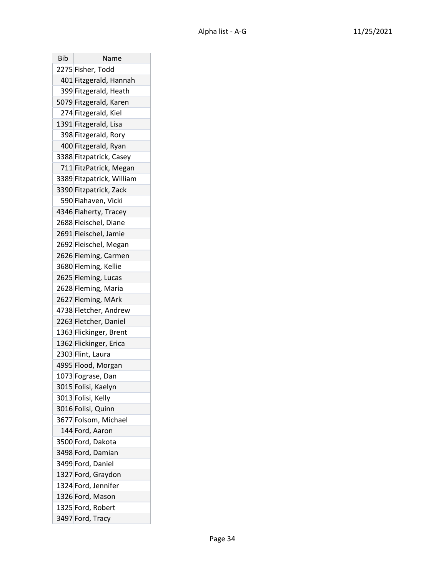| Bib | Name                      |
|-----|---------------------------|
|     | 2275 Fisher, Todd         |
|     | 401 Fitzgerald, Hannah    |
|     | 399 Fitzgerald, Heath     |
|     | 5079 Fitzgerald, Karen    |
|     | 274 Fitzgerald, Kiel      |
|     | 1391 Fitzgerald, Lisa     |
|     | 398 Fitzgerald, Rory      |
|     | 400 Fitzgerald, Ryan      |
|     | 3388 Fitzpatrick, Casey   |
|     | 711 FitzPatrick, Megan    |
|     | 3389 Fitzpatrick, William |
|     | 3390 Fitzpatrick, Zack    |
|     | 590 Flahaven, Vicki       |
|     | 4346 Flaherty, Tracey     |
|     | 2688 Fleischel, Diane     |
|     | 2691 Fleischel, Jamie     |
|     | 2692 Fleischel, Megan     |
|     | 2626 Fleming, Carmen      |
|     | 3680 Fleming, Kellie      |
|     | 2625 Fleming, Lucas       |
|     | 2628 Fleming, Maria       |
|     | 2627 Fleming, MArk        |
|     | 4738 Fletcher, Andrew     |
|     | 2263 Fletcher, Daniel     |
|     | 1363 Flickinger, Brent    |
|     | 1362 Flickinger, Erica    |
|     | 2303 Flint, Laura         |
|     | 4995 Flood, Morgan        |
|     | 1073 Fograse, Dan         |
|     | 3015 Folisi, Kaelyn       |
|     | 3013 Folisi, Kelly        |
|     | 3016 Folisi, Quinn        |
|     | 3677 Folsom, Michael      |
|     | 144 Ford, Aaron           |
|     | 3500 Ford, Dakota         |
|     | 3498 Ford, Damian         |
|     | 3499 Ford, Daniel         |
|     | 1327 Ford, Graydon        |
|     | 1324 Ford, Jennifer       |
|     | 1326 Ford, Mason          |
|     | 1325 Ford, Robert         |
|     | 3497 Ford, Tracy          |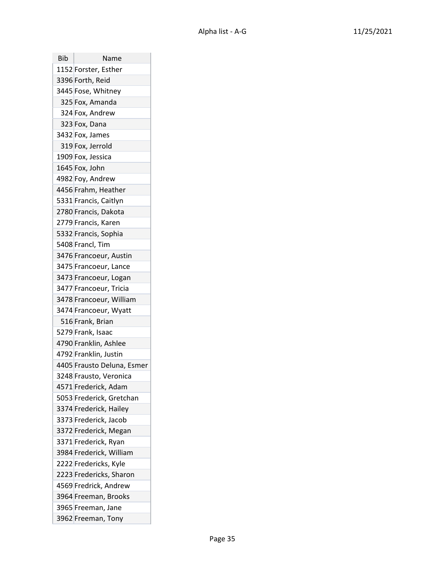| Bib | Name                       |
|-----|----------------------------|
|     | 1152 Forster, Esther       |
|     | 3396 Forth, Reid           |
|     | 3445 Fose, Whitney         |
|     | 325 Fox, Amanda            |
|     | 324 Fox, Andrew            |
|     | 323 Fox, Dana              |
|     | 3432 Fox, James            |
|     | 319 Fox, Jerrold           |
|     | 1909 Fox, Jessica          |
|     | 1645 Fox, John             |
|     | 4982 Foy, Andrew           |
|     | 4456 Frahm, Heather        |
|     | 5331 Francis, Caitlyn      |
|     | 2780 Francis, Dakota       |
|     | 2779 Francis, Karen        |
|     | 5332 Francis, Sophia       |
|     | 5408 Francl, Tim           |
|     | 3476 Francoeur, Austin     |
|     | 3475 Francoeur, Lance      |
|     | 3473 Francoeur, Logan      |
|     | 3477 Francoeur, Tricia     |
|     | 3478 Francoeur, William    |
|     | 3474 Francoeur, Wyatt      |
|     | 516 Frank, Brian           |
|     | 5279 Frank, Isaac          |
|     | 4790 Franklin, Ashlee      |
|     | 4792 Franklin, Justin      |
|     | 4405 Frausto Deluna, Esmer |
|     | 3248 Frausto, Veronica     |
|     | 4571 Frederick, Adam       |
|     | 5053 Frederick, Gretchan   |
|     | 3374 Frederick, Hailey     |
|     | 3373 Frederick, Jacob      |
|     | 3372 Frederick, Megan      |
|     | 3371 Frederick, Ryan       |
|     | 3984 Frederick, William    |
|     | 2222 Fredericks, Kyle      |
|     | 2223 Fredericks, Sharon    |
|     | 4569 Fredrick, Andrew      |
|     | 3964 Freeman, Brooks       |
|     | 3965 Freeman, Jane         |
|     | 3962 Freeman, Tony         |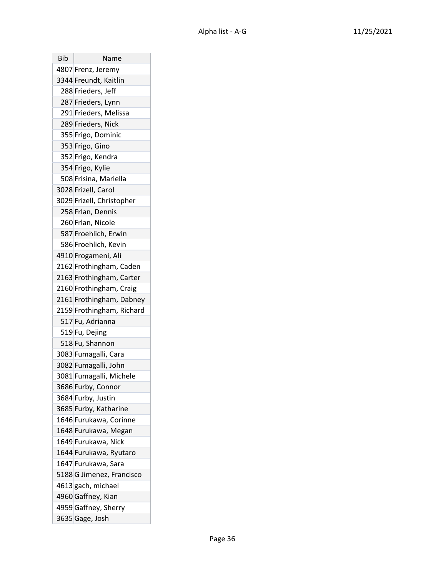| Bib | Name                      |
|-----|---------------------------|
|     | 4807 Frenz, Jeremy        |
|     | 3344 Freundt, Kaitlin     |
|     | 288 Frieders, Jeff        |
|     | 287 Frieders, Lynn        |
|     | 291 Frieders, Melissa     |
|     | 289 Frieders, Nick        |
|     | 355 Frigo, Dominic        |
|     | 353 Frigo, Gino           |
|     | 352 Frigo, Kendra         |
|     | 354 Frigo, Kylie          |
|     | 508 Frisina, Mariella     |
|     | 3028 Frizell, Carol       |
|     | 3029 Frizell, Christopher |
|     | 258 Frlan, Dennis         |
|     | 260 Frlan, Nicole         |
|     | 587 Froehlich, Erwin      |
|     | 586 Froehlich, Kevin      |
|     | 4910 Frogameni, Ali       |
|     | 2162 Frothingham, Caden   |
|     | 2163 Frothingham, Carter  |
|     | 2160 Frothingham, Craig   |
|     | 2161 Frothingham, Dabney  |
|     | 2159 Frothingham, Richard |
|     | 517 Fu, Adrianna          |
|     | 519 Fu, Dejing            |
|     | 518 Fu, Shannon           |
|     | 3083 Fumagalli, Cara      |
|     | 3082 Fumagalli, John      |
|     | 3081 Fumagalli, Michele   |
|     | 3686 Furby, Connor        |
|     | 3684 Furby, Justin        |
|     | 3685 Furby, Katharine     |
|     | 1646 Furukawa, Corinne    |
|     | 1648 Furukawa, Megan      |
|     | 1649 Furukawa, Nick       |
|     | 1644 Furukawa, Ryutaro    |
|     | 1647 Furukawa, Sara       |
|     | 5188 G Jimenez, Francisco |
|     | 4613 gach, michael        |
|     | 4960 Gaffney, Kian        |
|     | 4959 Gaffney, Sherry      |
|     | 3635 Gage, Josh           |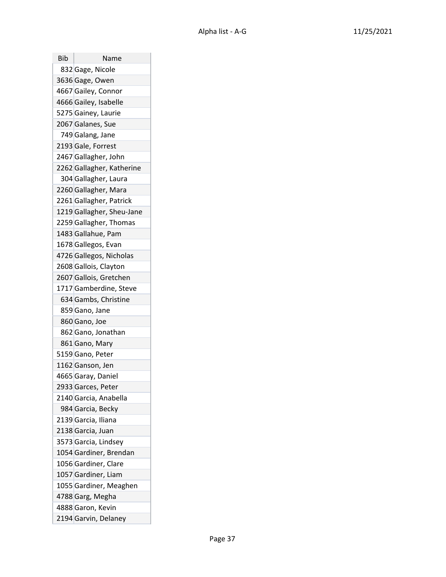| Bib | Name                      |
|-----|---------------------------|
|     | 832 Gage, Nicole          |
|     | 3636 Gage, Owen           |
|     | 4667 Gailey, Connor       |
|     | 4666 Gailey, Isabelle     |
|     | 5275 Gainey, Laurie       |
|     | 2067 Galanes, Sue         |
|     | 749 Galang, Jane          |
|     | 2193 Gale, Forrest        |
|     | 2467 Gallagher, John      |
|     | 2262 Gallagher, Katherine |
|     | 304 Gallagher, Laura      |
|     | 2260 Gallagher, Mara      |
|     | 2261 Gallagher, Patrick   |
|     | 1219 Gallagher, Sheu-Jane |
|     | 2259 Gallagher, Thomas    |
|     | 1483 Gallahue, Pam        |
|     | 1678 Gallegos, Evan       |
|     | 4726 Gallegos, Nicholas   |
|     | 2608 Gallois, Clayton     |
|     | 2607 Gallois, Gretchen    |
|     | 1717 Gamberdine, Steve    |
|     | 634 Gambs, Christine      |
|     | 859 Gano, Jane            |
|     | 860 Gano, Joe             |
|     | 862 Gano, Jonathan        |
|     | 861 Gano, Mary            |
|     | 5159 Gano, Peter          |
|     | 1162 Ganson, Jen          |
|     | 4665 Garay, Daniel        |
|     | 2933 Garces, Peter        |
|     | 2140 Garcia, Anabella     |
|     | 984 Garcia, Becky         |
|     | 2139 Garcia, Iliana       |
|     | 2138 Garcia, Juan         |
|     | 3573 Garcia, Lindsey      |
|     | 1054 Gardiner, Brendan    |
|     | 1056 Gardiner, Clare      |
|     | 1057 Gardiner, Liam       |
|     | 1055 Gardiner, Meaghen    |
|     | 4788 Garg, Megha          |
|     | 4888 Garon, Kevin         |
|     | 2194 Garvin, Delaney      |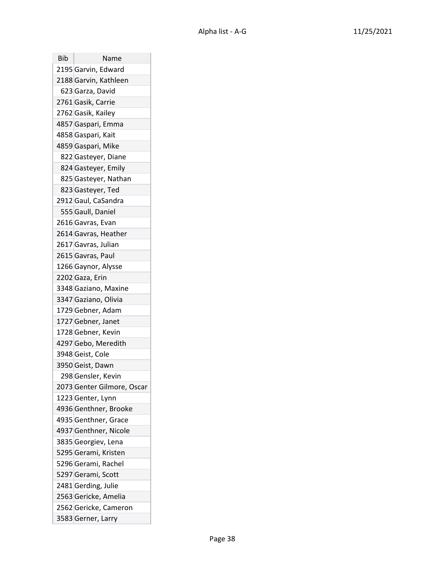| Bib | Name                       |
|-----|----------------------------|
|     | 2195 Garvin, Edward        |
|     | 2188 Garvin, Kathleen      |
|     | 623 Garza, David           |
|     | 2761 Gasik, Carrie         |
|     | 2762 Gasik, Kailey         |
|     | 4857 Gaspari, Emma         |
|     | 4858 Gaspari, Kait         |
|     | 4859 Gaspari, Mike         |
|     | 822 Gasteyer, Diane        |
|     | 824 Gasteyer, Emily        |
|     | 825 Gasteyer, Nathan       |
|     | 823 Gasteyer, Ted          |
|     | 2912 Gaul, CaSandra        |
|     | 555 Gaull, Daniel          |
|     | 2616 Gavras, Evan          |
|     | 2614 Gavras, Heather       |
|     | 2617 Gavras, Julian        |
|     | 2615 Gavras, Paul          |
|     | 1266 Gaynor, Alysse        |
|     | 2202 Gaza, Erin            |
|     | 3348 Gaziano, Maxine       |
|     | 3347 Gaziano, Olivia       |
|     | 1729 Gebner, Adam          |
|     | 1727 Gebner, Janet         |
|     | 1728 Gebner, Kevin         |
|     | 4297 Gebo, Meredith        |
|     | 3948 Geist, Cole           |
|     | 3950 Geist, Dawn           |
|     | 298 Gensler, Kevin         |
|     | 2073 Genter Gilmore, Oscar |
|     | 1223 Genter, Lynn          |
|     | 4936 Genthner, Brooke      |
|     | 4935 Genthner, Grace       |
|     | 4937 Genthner, Nicole      |
|     | 3835 Georgiev, Lena        |
|     | 5295 Gerami, Kristen       |
|     | 5296 Gerami, Rachel        |
|     | 5297 Gerami, Scott         |
|     | 2481 Gerding, Julie        |
|     | 2563 Gericke, Amelia       |
|     | 2562 Gericke, Cameron      |
|     | 3583 Gerner, Larry         |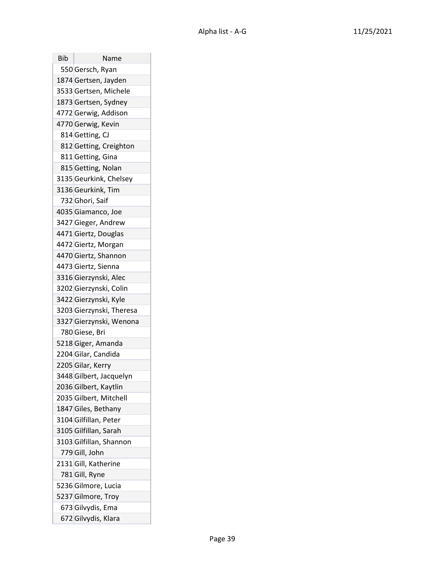| Bib | Name                     |
|-----|--------------------------|
|     | 550 Gersch, Ryan         |
|     | 1874 Gertsen, Jayden     |
|     | 3533 Gertsen, Michele    |
|     | 1873 Gertsen, Sydney     |
|     | 4772 Gerwig, Addison     |
|     | 4770 Gerwig, Kevin       |
|     | 814 Getting, CJ          |
|     | 812 Getting, Creighton   |
|     | 811 Getting, Gina        |
|     | 815 Getting, Nolan       |
|     | 3135 Geurkink, Chelsey   |
|     | 3136 Geurkink, Tim       |
|     | 732 Ghori, Saif          |
|     | 4035 Giamanco, Joe       |
|     | 3427 Gieger, Andrew      |
|     | 4471 Giertz, Douglas     |
|     | 4472 Giertz, Morgan      |
|     | 4470 Giertz, Shannon     |
|     | 4473 Giertz, Sienna      |
|     | 3316 Gierzynski, Alec    |
|     | 3202 Gierzynski, Colin   |
|     | 3422 Gierzynski, Kyle    |
|     | 3203 Gierzynski, Theresa |
|     | 3327 Gierzynski, Wenona  |
|     | 780 Giese, Bri           |
|     | 5218 Giger, Amanda       |
|     | 2204 Gilar, Candida      |
|     | 2205 Gilar, Kerry        |
|     | 3448 Gilbert, Jacquelyn  |
|     | 2036 Gilbert, Kaytlin    |
|     | 2035 Gilbert, Mitchell   |
|     | 1847 Giles, Bethany      |
|     | 3104 Gilfillan, Peter    |
|     | 3105 Gilfillan, Sarah    |
|     | 3103 Gilfillan, Shannon  |
|     | 779 Gill, John           |
|     | 2131 Gill, Katherine     |
|     | 781 Gill, Ryne           |
|     | 5236 Gilmore, Lucia      |
|     | 5237 Gilmore, Troy       |
|     | 673 Gilvydis, Ema        |
|     | 672 Gilvydis, Klara      |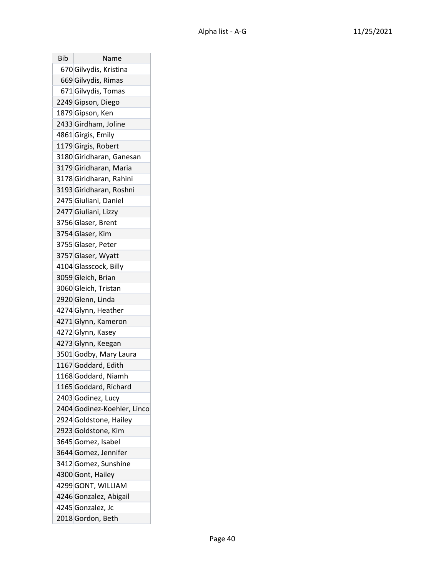| Bib | Name                        |
|-----|-----------------------------|
|     | 670 Gilvydis, Kristina      |
|     | 669 Gilvydis, Rimas         |
|     | 671 Gilvydis, Tomas         |
|     | 2249 Gipson, Diego          |
|     | 1879 Gipson, Ken            |
|     | 2433 Girdham, Joline        |
|     | 4861 Girgis, Emily          |
|     | 1179 Girgis, Robert         |
|     | 3180 Giridharan, Ganesan    |
|     | 3179 Giridharan, Maria      |
|     | 3178 Giridharan, Rahini     |
|     | 3193 Giridharan, Roshni     |
|     | 2475 Giuliani, Daniel       |
|     | 2477 Giuliani, Lizzy        |
|     | 3756 Glaser, Brent          |
|     | 3754 Glaser, Kim            |
|     | 3755 Glaser, Peter          |
|     | 3757 Glaser, Wyatt          |
|     | 4104 Glasscock, Billy       |
|     | 3059 Gleich, Brian          |
|     | 3060 Gleich, Tristan        |
|     | 2920 Glenn, Linda           |
|     | 4274 Glynn, Heather         |
|     | 4271 Glynn, Kameron         |
|     | 4272 Glynn, Kasey           |
|     | 4273 Glynn, Keegan          |
|     | 3501 Godby, Mary Laura      |
|     | 1167 Goddard, Edith         |
|     | 1168 Goddard, Niamh         |
|     | 1165 Goddard, Richard       |
|     | 2403 Godinez, Lucy          |
|     | 2404 Godinez-Koehler, Linco |
|     | 2924 Goldstone, Hailey      |
|     | 2923 Goldstone, Kim         |
|     | 3645 Gomez, Isabel          |
|     | 3644 Gomez, Jennifer        |
|     | 3412 Gomez, Sunshine        |
|     | 4300 Gont, Hailey           |
|     | 4299 GONT, WILLIAM          |
|     | 4246 Gonzalez, Abigail      |
|     | 4245 Gonzalez, Jc           |
|     | 2018 Gordon, Beth           |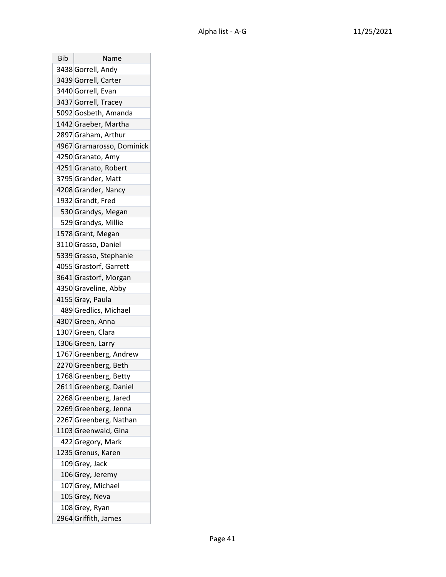| Bib | Name                      |
|-----|---------------------------|
|     | 3438 Gorrell, Andy        |
|     | 3439 Gorrell, Carter      |
|     | 3440 Gorrell, Evan        |
|     | 3437 Gorrell, Tracey      |
|     | 5092 Gosbeth, Amanda      |
|     | 1442 Graeber, Martha      |
|     | 2897 Graham, Arthur       |
|     | 4967 Gramarosso, Dominick |
|     | 4250 Granato, Amy         |
|     | 4251 Granato, Robert      |
|     | 3795 Grander, Matt        |
|     | 4208 Grander, Nancy       |
|     | 1932 Grandt, Fred         |
|     | 530 Grandys, Megan        |
|     | 529 Grandys, Millie       |
|     | 1578 Grant, Megan         |
|     | 3110 Grasso, Daniel       |
|     | 5339 Grasso, Stephanie    |
|     | 4055 Grastorf, Garrett    |
|     | 3641 Grastorf, Morgan     |
|     | 4350 Graveline, Abby      |
|     | 4155 Gray, Paula          |
|     | 489 Gredlics, Michael     |
|     | 4307 Green, Anna          |
|     | 1307 Green, Clara         |
|     | 1306 Green, Larry         |
|     | 1767 Greenberg, Andrew    |
|     | 2270 Greenberg, Beth      |
|     | 1768 Greenberg, Betty     |
|     | 2611 Greenberg, Daniel    |
|     | 2268 Greenberg, Jared     |
|     | 2269 Greenberg, Jenna     |
|     | 2267 Greenberg, Nathan    |
|     | 1103 Greenwald, Gina      |
|     | 422 Gregory, Mark         |
|     | 1235 Grenus, Karen        |
|     | 109 Grey, Jack            |
|     | 106 Grey, Jeremy          |
|     | 107 Grey, Michael         |
|     | 105 Grey, Neva            |
|     | 108 Grey, Ryan            |
|     | 2964 Griffith, James      |